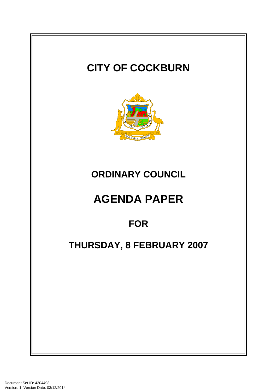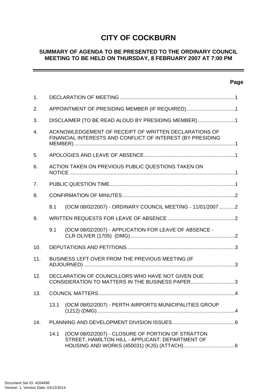# **CITY OF COCKBURN**

### **SUMMARY OF AGENDA TO BE PRESENTED TO THE ORDINARY COUNCIL MEETING TO BE HELD ON THURSDAY, 8 FEBRUARY 2007 AT 7:00 PM**

# **Page**

-

| $\mathbf{1}$ .   |                                                                                                                     |                                                                                                       |  |
|------------------|---------------------------------------------------------------------------------------------------------------------|-------------------------------------------------------------------------------------------------------|--|
| 2.               | APPOINTMENT OF PRESIDING MEMBER (IF REQUIRED)1                                                                      |                                                                                                       |  |
| 3.               | DISCLAIMER (TO BE READ ALOUD BY PRESIDING MEMBER) 1                                                                 |                                                                                                       |  |
| $\overline{4}$ . | ACKNOWLEDGEMENT OF RECEIPT OF WRITTEN DECLARATIONS OF<br>FINANCIAL INTERESTS AND CONFLICT OF INTEREST (BY PRESIDING |                                                                                                       |  |
| 5.               |                                                                                                                     |                                                                                                       |  |
| 6.               | ACTION TAKEN ON PREVIOUS PUBLIC QUESTIONS TAKEN ON                                                                  |                                                                                                       |  |
| 7.               |                                                                                                                     |                                                                                                       |  |
| 8.               |                                                                                                                     |                                                                                                       |  |
|                  | 8.1                                                                                                                 | (OCM 08/02/2007) - ORDINARY COUNCIL MEETING - 11/01/2007 2                                            |  |
| 9.               |                                                                                                                     |                                                                                                       |  |
|                  | 9.1                                                                                                                 | (OCM 08/02/2007) - APPLICATION FOR LEAVE OF ABSENCE -                                                 |  |
| 10.              |                                                                                                                     |                                                                                                       |  |
| 11.              | BUSINESS LEFT OVER FROM THE PREVIOUS MEETING (IF                                                                    |                                                                                                       |  |
| 12.              | DECLARATION OF COUNCILLORS WHO HAVE NOT GIVEN DUE<br>CONSIDERATION TO MATTERS IN THE BUSINESS PAPER3                |                                                                                                       |  |
| 13.              |                                                                                                                     |                                                                                                       |  |
|                  | 13.1                                                                                                                | (OCM 08/02/2007) - PERTH AIRPORTS MUNICIPALITIES GROUP                                                |  |
| 14.              |                                                                                                                     |                                                                                                       |  |
|                  | 14.1                                                                                                                | (OCM 08/02/2007) - CLOSURE OF PORTION OF STRATTON<br>STREET, HAMILTON HILL - APPLICANT: DEPARTMENT OF |  |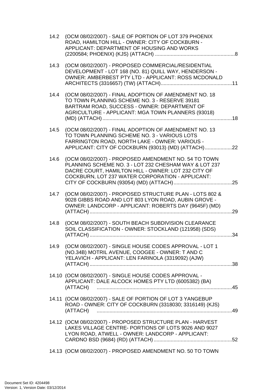| 14.2 | (OCM 08/02/2007) - SALE OF PORTION OF LOT 379 PHOENIX<br>ROAD, HAMILTON HILL - OWNER: CITY OF COCKBURN -<br>APPLICANT: DEPARTMENT OF HOUSING AND WORKS                                                                   |
|------|--------------------------------------------------------------------------------------------------------------------------------------------------------------------------------------------------------------------------|
| 14.3 | (OCM 08/02/2007) - PROPOSED COMMERCIAL/RESIDENTIAL<br>DEVELOPMENT - LOT 168 (NO. 81) QUILL WAY, HENDERSON -<br>OWNER: AMBERBEST PTY LTD - APPLICANT: ROSS MCDONALD                                                       |
| 14.4 | (OCM 08/02/2007) - FINAL ADOPTION OF AMENDMENT NO. 18<br>TO TOWN PLANNING SCHEME NO. 3 - RESERVE 39181<br>BARTRAM ROAD, SUCCESS - OWNER: DEPARTMENT OF<br>AGRICULTURE - APPLICANT: MGA TOWN PLANNERS (93018)             |
| 14.5 | (OCM 08/02/2007) - FINAL ADOPTION OF AMENDMENT NO. 13<br>TO TOWN PLANNING SCHEME NO. 3 - VARIOUS LOTS<br>FARRINGTON ROAD, NORTH LAKE - OWNER: VARIOUS -<br>APPLICANT: CITY OF COCKBURN (93013) (MD) (ATTACH)22           |
| 14.6 | (OCM 08/02/2007) - PROPOSED AMENDMENT NO. 54 TO TOWN<br>PLANNING SCHEME NO. 3 - LOT 232 CHESHAM WAY & LOT 237<br>DACRE COURT, HAMILTON HILL - OWNER: LOT 232 CITY OF<br>COCKBURN, LOT 237 WATER CORPORATION - APPLICANT: |
| 14.7 | (OCM 08/02/2007) - PROPOSED STRUCTURE PLAN - LOTS 802 &<br>9028 GIBBS ROAD AND LOT 803 LYON ROAD, AUBIN GROVE -<br>OWNER: LANDCORP - APPLICANT: ROBERTS DAY (9645F) (MD)                                                 |
| 14.8 | (OCM 08/02/2007) - SOUTH BEACH SUBDIVISION CLEARANCE<br>SOIL CLASSIFICATION - OWNER: STOCKLAND (121958) (SDS)<br>.34                                                                                                     |
|      | 14.9 (OCM 08/02/2007) - SINGLE HOUSE CODES APPROVAL - LOT 1<br>(NO.34B) MOTRIL AVENUE, COOGEE - OWNER: T AND C<br>YELAVICH - APPLICANT: LEN FARINOLA (3319092) (AJW)                                                     |
|      | 14.10 (OCM 08/02/2007) - SINGLE HOUSE CODES APPROVAL -<br>APPLICANT: DALE ALCOCK HOMES PTY LTD (6005382) (BA)                                                                                                            |
|      | 14.11 (OCM 08/02/2007) - SALE OF PORTION OF LOT 3 YANGEBUP<br>ROAD - OWNER: CITY OF COCKBURN (3318030; 3316149) (KJS)                                                                                                    |
|      | 14.12 (OCM 08/02/2007) - PROPOSED STRUCTURE PLAN - HARVEST<br>LAKES VILLAGE CENTRE- PORTIONS OF LOTS 9026 AND 9027<br>LYON ROAD, ATWELL - OWNER: LANDCORP - APPLICANT:                                                   |
|      | 14.13 (OCM 08/02/2007) - PROPOSED AMENDMENT NO. 50 TO TOWN                                                                                                                                                               |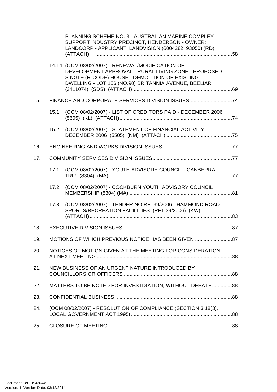|     |                                                               | PLANNING SCHEME NO. 3 - AUSTRALIAN MARINE COMPLEX<br>SUPPORT INDUSTRY PRECINCT, HENDERSON - OWNER:<br>LANDCORP - APPLICANT: LANDVISION (6004282; 93050) (RD)                                                      |  |
|-----|---------------------------------------------------------------|-------------------------------------------------------------------------------------------------------------------------------------------------------------------------------------------------------------------|--|
|     |                                                               | 14.14 (OCM 08/02/2007) - RENEWAL/MODIFICATION OF<br>DEVELOPMENT APPROVAL - RURAL LIVING ZONE - PROPOSED<br>SINGLE (R-CODE) HOUSE - DEMOLITION OF EXISTING<br>DWELLING - LOT 166 (NO.90) BRITANNIA AVENUE, BEELIAR |  |
| 15. |                                                               |                                                                                                                                                                                                                   |  |
|     | 15.1                                                          | (OCM 08/02/2007) - LIST OF CREDITORS PAID - DECEMBER 2006                                                                                                                                                         |  |
|     |                                                               | 15.2 (OCM 08/02/2007) - STATEMENT OF FINANCIAL ACTIVITY -                                                                                                                                                         |  |
| 16. |                                                               |                                                                                                                                                                                                                   |  |
| 17. |                                                               |                                                                                                                                                                                                                   |  |
|     | 17.1                                                          | (OCM 08/02/2007) - YOUTH ADVISORY COUNCIL - CANBERRA                                                                                                                                                              |  |
|     | 17.2                                                          | (OCM 08/02/2007) - COCKBURN YOUTH ADVISORY COUNCIL                                                                                                                                                                |  |
|     | 17.3                                                          | (OCM 08/02/2007) - TENDER NO.RFT39/2006 - HAMMOND ROAD<br>SPORTS/RECREATION FACILITIES (RFT 39/2006) (KW)                                                                                                         |  |
| 18. |                                                               |                                                                                                                                                                                                                   |  |
| 19. |                                                               | MOTIONS OF WHICH PREVIOUS NOTICE HAS BEEN GIVEN 87                                                                                                                                                                |  |
| 20. | NOTICES OF MOTION GIVEN AT THE MEETING FOR CONSIDERATION      |                                                                                                                                                                                                                   |  |
| 21. |                                                               | NEW BUSINESS OF AN URGENT NATURE INTRODUCED BY                                                                                                                                                                    |  |
| 22. |                                                               | MATTERS TO BE NOTED FOR INVESTIGATION, WITHOUT DEBATE88                                                                                                                                                           |  |
| 23. |                                                               |                                                                                                                                                                                                                   |  |
| 24. | (OCM 08/02/2007) - RESOLUTION OF COMPLIANCE (SECTION 3.18(3), |                                                                                                                                                                                                                   |  |
| 25. |                                                               |                                                                                                                                                                                                                   |  |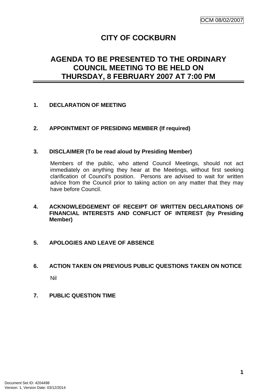# **CITY OF COCKBURN**

# <span id="page-4-0"></span>**AGENDA TO BE PRESENTED TO THE ORDINARY COUNCIL MEETING TO BE HELD ON THURSDAY, 8 FEBRUARY 2007 AT 7:00 PM**

## **1. DECLARATION OF MEETING**

## **2. APPOINTMENT OF PRESIDING MEMBER (If required)**

#### **3. DISCLAIMER (To be read aloud by Presiding Member)**

Members of the public, who attend Council Meetings, should not act immediately on anything they hear at the Meetings, without first seeking clarification of Council's position. Persons are advised to wait for written advice from the Council prior to taking action on any matter that they may have before Council.

**4. ACKNOWLEDGEMENT OF RECEIPT OF WRITTEN DECLARATIONS OF FINANCIAL INTERESTS AND CONFLICT OF INTEREST (by Presiding Member)** 

#### **5. APOLOGIES AND LEAVE OF ABSENCE**

# **6. ACTION TAKEN ON PREVIOUS PUBLIC QUESTIONS TAKEN ON NOTICE**

Nil

**7. PUBLIC QUESTION TIME**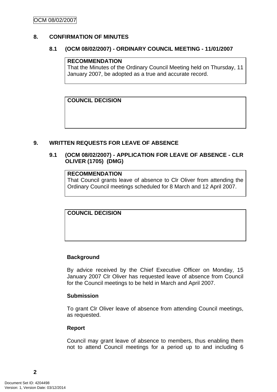## <span id="page-5-0"></span>**8. CONFIRMATION OF MINUTES**

#### **8.1 (OCM 08/02/2007) - ORDINARY COUNCIL MEETING - 11/01/2007**

#### **RECOMMENDATION**

That the Minutes of the Ordinary Council Meeting held on Thursday, 11 January 2007, be adopted as a true and accurate record.

**COUNCIL DECISION**

## **9. WRITTEN REQUESTS FOR LEAVE OF ABSENCE**

## **9.1 (OCM 08/02/2007) - APPLICATION FOR LEAVE OF ABSENCE - CLR OLIVER (1705) (DMG)**

#### **RECOMMENDATION**

That Council grants leave of absence to Clr Oliver from attending the Ordinary Council meetings scheduled for 8 March and 12 April 2007.

**COUNCIL DECISION**

#### **Background**

By advice received by the Chief Executive Officer on Monday, 15 January 2007 Clr Oliver has requested leave of absence from Council for the Council meetings to be held in March and April 2007.

#### **Submission**

To grant Clr Oliver leave of absence from attending Council meetings, as requested.

#### **Report**

Council may grant leave of absence to members, thus enabling them not to attend Council meetings for a period up to and including 6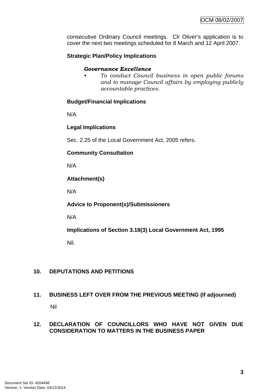<span id="page-6-0"></span>consecutive Ordinary Council meetings. Clr Oliver's application is to cover the next two meetings scheduled for 8 March and 12 April 2007.

## **Strategic Plan/Policy Implications**

#### *Governance Excellence*

*• To conduct Council business in open public forums and to manage Council affairs by employing publicly accountable practices.* 

#### **Budget/Financial Implications**

N/A

#### **Legal Implications**

Sec. 2.25 of the Local Government Act, 2005 refers.

#### **Community Consultation**

N/A

#### **Attachment(s)**

N/A

**Advice to Proponent(s)/Submissioners** 

N/A

**Implications of Section 3.18(3) Local Government Act, 1995**

Nil.

# **10. DEPUTATIONS AND PETITIONS**

# **11. BUSINESS LEFT OVER FROM THE PREVIOUS MEETING (If adjourned)**

Nil

#### **12. DECLARATION OF COUNCILLORS WHO HAVE NOT GIVEN DUE CONSIDERATION TO MATTERS IN THE BUSINESS PAPER**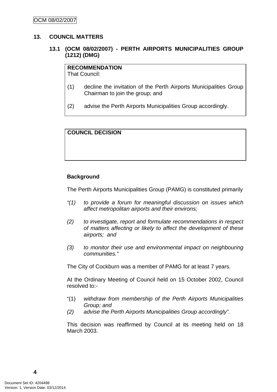#### <span id="page-7-0"></span>**13. COUNCIL MATTERS**

## **13.1 (OCM 08/02/2007) - PERTH AIRPORTS MUNICIPALITIES GROUP (1212) (DMG)**

#### **RECOMMENDATION**

That Council:

- (1) decline the invitation of the Perth Airports Municipalities Group Chairman to join the group; and
- (2) advise the Perth Airports Municipalities Group accordingly.

#### **COUNCIL DECISION**

#### **Background**

The Perth Airports Municipalities Group (PAMG) is constituted primarily

- *"(1) to provide a forum for meaningful discussion on issues which affect metropolitan airports and their environs;*
- *(2) to investigate, report and formulate recommendations in respect of matters affecting or likely to affect the development of these airports; and*
- *(3) to monitor their use and environmental impact on neighbouring communities."*

The City of Cockburn was a member of PAMG for at least 7 years.

At the Ordinary Meeting of Council held on 15 October 2002, Council resolved to:-

- "(1) *withdraw from membership of the Perth Airports Municipalities Group; and*
- *(2) advise the Perth Airports Municipalities Group accordingly".*

This decision was reaffirmed by Council at its meeting held on 18 March 2003.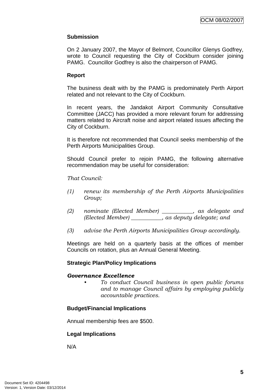#### **Submission**

On 2 January 2007, the Mayor of Belmont, Councillor Glenys Godfrey, wrote to Council requesting the City of Cockburn consider joining PAMG. Councillor Godfrey is also the chairperson of PAMG.

#### **Report**

The business dealt with by the PAMG is predominately Perth Airport related and not relevant to the City of Cockburn.

In recent years, the Jandakot Airport Community Consultative Committee (JACC) has provided a more relevant forum for addressing matters related to Aircraft noise and airport related issues affecting the City of Cockburn.

It is therefore not recommended that Council seeks membership of the Perth Airports Municipalities Group.

Should Council prefer to rejoin PAMG, the following alternative recommendation may be useful for consideration:

#### *That Council:*

- *(1) renew its membership of the Perth Airports Municipalities Group;*
- *(2) nominate (Elected Member) \_\_\_\_\_\_\_\_\_\_\_, as delegate and (Elected Member) \_\_\_\_\_\_\_\_\_\_\_, as deputy delegate; and*
- *(3) advise the Perth Airports Municipalities Group accordingly.*

Meetings are held on a quarterly basis at the offices of member Councils on rotation, plus an Annual General Meeting.

#### **Strategic Plan/Policy Implications**

#### *Governance Excellence*

*• To conduct Council business in open public forums and to manage Council affairs by employing publicly accountable practices.* 

#### **Budget/Financial Implications**

Annual membership fees are \$500.

#### **Legal Implications**

N/A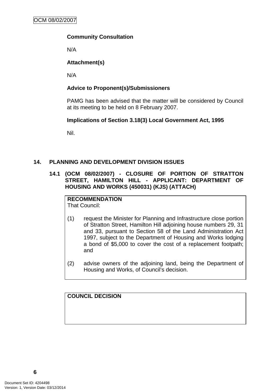## <span id="page-9-0"></span>**Community Consultation**

N/A

## **Attachment(s)**

N/A

## **Advice to Proponent(s)/Submissioners**

PAMG has been advised that the matter will be considered by Council at its meeting to be held on 8 February 2007.

## **Implications of Section 3.18(3) Local Government Act, 1995**

Nil.

## **14. PLANNING AND DEVELOPMENT DIVISION ISSUES**

**14.1 (OCM 08/02/2007) - CLOSURE OF PORTION OF STRATTON STREET, HAMILTON HILL - APPLICANT: DEPARTMENT OF HOUSING AND WORKS (450031) (KJS) (ATTACH)** 

# **RECOMMENDATION**

That Council:

- (1) request the Minister for Planning and Infrastructure close portion of Stratton Street, Hamilton Hill adjoining house numbers 29, 31 and 33, pursuant to Section 58 of the Land Administration Act 1997, subject to the Department of Housing and Works lodging a bond of \$5,000 to cover the cost of a replacement footpath; and
- (2) advise owners of the adjoining land, being the Department of Housing and Works, of Council's decision.

**COUNCIL DECISION**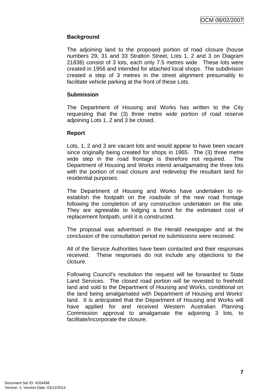# **Background**

The adjoining land to the proposed portion of road closure (house numbers 29, 31 and 33 Stratton Street, Lots 1, 2 and 3 on Diagram 21838) consist of 3 lots, each only 7.5 metres wide. These lots were created in 1956 and intended for attached local shops. The subdivision created a step of 3 metres in the street alignment presumably to facilitate vehicle parking at the front of these Lots.

#### **Submission**

The Department of Housing and Works has written to the City requesting that the (3) three metre wide portion of road reserve adjoining Lots 1, 2 and 3 be closed.

#### **Report**

Lots, 1, 2 and 3 are vacant lots and would appear to have been vacant since originally being created for shops in 1965. The (3) three metre wide step in the road frontage is therefore not required. The Department of Housing and Works intend amalgamating the three lots with the portion of road closure and redevelop the resultant land for residential purposes.

The Department of Housing and Works have undertaken to reestablish the footpath on the roadside of the new road frontage following the completion of any construction undertaken on the site. They are agreeable to lodging a bond for the estimated cost of replacement footpath, until it is constructed.

The proposal was advertised in the Herald newspaper and at the conclusion of the consultation period no submissions were received.

All of the Service Authorities have been contacted and their responses received. These responses do not include any objections to the closure.

Following Council's resolution the request will be forwarded to State Land Services. The closed road portion will be revested to freehold land and sold to the Department of Housing and Works, conditional on the land being amalgamated with Department of Housing and Works' land. It is anticipated that the Department of Housing and Works will have applied for and received Western Australian Planning Commission approval to amalgamate the adjoining 3 lots, to facilitate/incorporate the closure.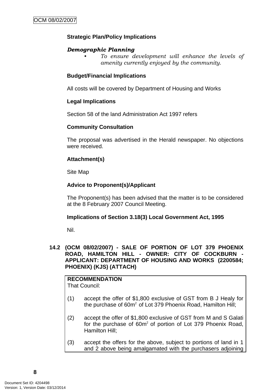# <span id="page-11-0"></span>**Strategic Plan/Policy Implications**

## *Demographic Planning*

*• To ensure development will enhance the levels of amenity currently enjoyed by the community.*

## **Budget/Financial Implications**

All costs will be covered by Department of Housing and Works

#### **Legal Implications**

Section 58 of the land Administration Act 1997 refers

#### **Community Consultation**

The proposal was advertised in the Herald newspaper. No objections were received.

## **Attachment(s)**

Site Map

# **Advice to Proponent(s)/Applicant**

The Proponent(s) has been advised that the matter is to be considered at the 8 February 2007 Council Meeting.

#### **Implications of Section 3.18(3) Local Government Act, 1995**

Nil.

#### **14.2 (OCM 08/02/2007) - SALE OF PORTION OF LOT 379 PHOENIX ROAD, HAMILTON HILL - OWNER: CITY OF COCKBURN - APPLICANT: DEPARTMENT OF HOUSING AND WORKS (2200584; PHOENIX) (KJS) (ATTACH)**

**RECOMMENDATION**  That Council:

- (1) accept the offer of \$1,800 exclusive of GST from B J Healy for the purchase of  $60m^2$  of Lot 379 Phoenix Road, Hamilton Hill;
- (2) accept the offer of \$1,800 exclusive of GST from M and S Galati for the purchase of 60m<sup>2</sup> of portion of Lot 379 Phoenix Road, Hamilton Hill;
- (3) accept the offers for the above, subject to portions of land in 1 and 2 above being amalgamated with the purchasers adjoining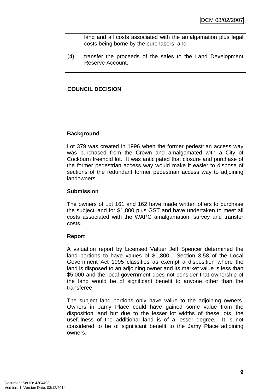land and all costs associated with the amalgamation plus legal costs being borne by the purchasers; and

(4) transfer the proceeds of the sales to the Land Development Reserve Account.

## **COUNCIL DECISION**

#### **Background**

Lot 379 was created in 1996 when the former pedestrian access way was purchased from the Crown and amalgamated with a City of Cockburn freehold lot. It was anticipated that closure and purchase of the former pedestrian access way would make it easier to dispose of sections of the redundant former pedestrian access way to adjoining landowners.

#### **Submission**

The owners of Lot 161 and 162 have made written offers to purchase the subject land for \$1,800 plus GST and have undertaken to meet all costs associated with the WAPC amalgamation, survey and transfer costs.

#### **Report**

A valuation report by Licensed Valuer Jeff Spencer determined the land portions to have values of \$1,800. Section 3.58 of the Local Government Act 1995 classifies as exempt a disposition where the land is disposed to an adjoining owner and its market value is less than \$5,000 and the local government does not consider that ownership of the land would be of significant benefit to anyone other than the transferee.

The subject land portions only have value to the adjoining owners. Owners in Jamy Place could have gained some value from the disposition land but due to the lesser lot widths of these lots, the usefulness of the additional land is of a lesser degree. It is not considered to be of significant benefit to the Jamy Place adjoining owners.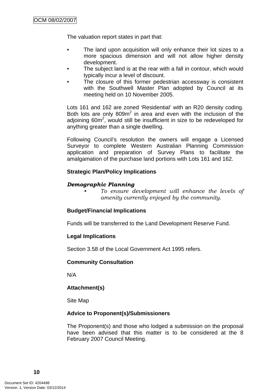The valuation report states in part that:

- The land upon acquisition will only enhance their lot sizes to a more spacious dimension and will not allow higher density development.
- The subject land is at the rear with a fall in contour, which would typically incur a level of discount.
- The closure of this former pedestrian accessway is consistent with the Southwell Master Plan adopted by Council at its meeting held on 10 November 2005.

Lots 161 and 162 are zoned 'Residential' with an R20 density coding. Both lots are only  $809m^2$  in area and even with the inclusion of the adjoining 60 $m^2$ , would still be insufficient in size to be redeveloped for anything greater than a single dwelling.

Following Council's resolution the owners will engage a Licensed Surveyor to complete Western Australian Planning Commission application and preparation of Survey Plans to facilitate the amalgamation of the purchase land portions with Lots 161 and 162.

## **Strategic Plan/Policy Implications**

## *Demographic Planning*

*• To ensure development will enhance the levels of amenity currently enjoyed by the community.*

#### **Budget/Financial Implications**

Funds will be transferred to the Land Development Reserve Fund.

#### **Legal Implications**

Section 3.58 of the Local Government Act 1995 refers.

#### **Community Consultation**

N/A

# **Attachment(s)**

Site Map

#### **Advice to Proponent(s)/Submissioners**

The Proponent(s) and those who lodged a submission on the proposal have been advised that this matter is to be considered at the 8 February 2007 Council Meeting.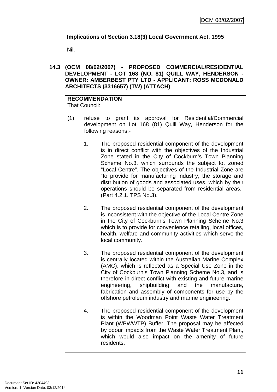# <span id="page-14-0"></span>**Implications of Section 3.18(3) Local Government Act, 1995**

Nil.

**14.3 (OCM 08/02/2007) - PROPOSED COMMERCIAL/RESIDENTIAL DEVELOPMENT - LOT 168 (NO. 81) QUILL WAY, HENDERSON - OWNER: AMBERBEST PTY LTD - APPLICANT: ROSS MCDONALD ARCHITECTS (3316657) (TW) (ATTACH)** 

#### **RECOMMENDATION** That Council:

- (1) refuse to grant its approval for Residential/Commercial development on Lot 168 (81) Quill Way, Henderson for the following reasons:-
	- 1. The proposed residential component of the development is in direct conflict with the objectives of the Industrial Zone stated in the City of Cockburn's Town Planning Scheme No.3, which surrounds the subject lot zoned "Local Centre". The objectives of the Industrial Zone are "to provide for manufacturing industry, the storage and distribution of goods and associated uses, which by their operations should be separated from residential areas." (Part 4.2.1. TPS No.3).
	- 2. The proposed residential component of the development is inconsistent with the objective of the Local Centre Zone in the City of Cockburn's Town Planning Scheme No.3 which is to provide for convenience retailing, local offices, health, welfare and community activities which serve the local community.
	- 3. The proposed residential component of the development is centrally located within the Australian Marine Complex (AMC), which is reflected as a Special Use Zone in the City of Cockburn's Town Planning Scheme No.3, and is therefore in direct conflict with existing and future marine engineering, shipbuilding and the manufacture, fabrication and assembly of components for use by the offshore petroleum industry and marine engineering.
	- 4. The proposed residential component of the development is within the Woodman Point Waste Water Treatment Plant (WPWWTP) Buffer. The proposal may be affected by odour impacts from the Waste Water Treatment Plant, which would also impact on the amenity of future residents.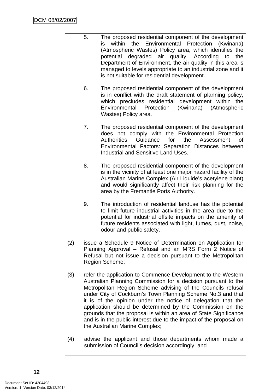- 5. The proposed residential component of the development is within the Environmental Protection (Kwinana) (Atmospheric Wastes) Policy area, which identifies the potential degraded air quality. According to the Department of Environment, the air quality in this area is managed to levels appropriate to an industrial zone and it is not suitable for residential development.
	- 6. The proposed residential component of the development is in conflict with the draft statement of planning policy, which precludes residential development within the Environmental Protection (Kwinana) (Atmospheric Wastes) Policy area.
	- 7. The proposed residential component of the development does not comply with the Environmental Protection Authorities Guidance for the Assessment of Environmental Factors: Separation Distances between Industrial and Sensitive Land Uses.
	- 8. The proposed residential component of the development is in the vicinity of at least one major hazard facility of the Australian Marine Complex (Air Liquide's acetylene plant) and would significantly affect their risk planning for the area by the Fremantle Ports Authority.
	- 9. The introduction of residential landuse has the potential to limit future industrial activities in the area due to the potential for industrial offsite impacts on the amenity of future residents associated with light, fumes, dust, noise, odour and public safety.
- (2) issue a Schedule 9 Notice of Determination on Application for Planning Approval – Refusal and an MRS Form 2 Notice of Refusal but not issue a decision pursuant to the Metropolitan Region Scheme;
- (3) refer the application to Commence Development to the Western Australian Planning Commission for a decision pursuant to the Metropolitan Region Scheme advising of the Councils refusal under City of Cockburn's Town Planning Scheme No.3 and that it is of the opinion under the notice of delegation that the application should be determined by the Commission on the grounds that the proposal is within an area of State Significance and is in the public interest due to the impact of the proposal on the Australian Marine Complex;
- (4) advise the applicant and those departments whom made a submission of Council's decision accordingly; and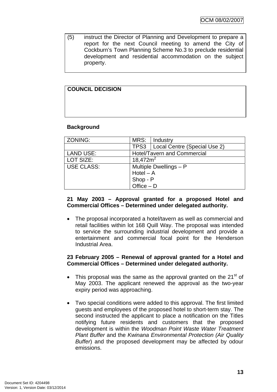(5) instruct the Director of Planning and Development to prepare a report for the next Council meeting to amend the City of Cockburn's Town Planning Scheme No.3 to preclude residential development and residential accommodation on the subject property.

# **COUNCIL DECISION**

#### **Background**

| ZONING:           | MRS:         | Industry                            |
|-------------------|--------------|-------------------------------------|
|                   |              | TPS3   Local Centre (Special Use 2) |
| <b>LAND USE:</b>  |              | <b>Hotel/Tavern and Commercial</b>  |
| LOT SIZE:         | 18,472 $m2$  |                                     |
| <b>USE CLASS:</b> |              | Multiple Dwellings - P              |
|                   | $Hotel - A$  |                                     |
|                   | Shop - P     |                                     |
|                   | Office $- D$ |                                     |

#### **21 May 2003 – Approval granted for a proposed Hotel and Commercial Offices – Determined under delegated authority.**

• The proposal incorporated a hotel/tavern as well as commercial and retail facilities within lot 168 Quill Way. The proposal was intended to service the surrounding industrial development and provide a entertainment and commercial focal point for the Henderson Industrial Area.

#### **23 February 2005 – Renewal of approval granted for a Hotel and Commercial Offices – Determined under delegated authority.**

- This proposal was the same as the approval granted on the  $21<sup>st</sup>$  of May 2003. The applicant renewed the approval as the two-year expiry period was approaching.
- Two special conditions were added to this approval. The first limited guests and employees of the proposed hotel to short-term stay. The second instructed the applicant to place a notification on the Titles notifying future residents and customers that the proposed development is within the *Woodman Point Waste Water Treatment Plant Buffer* and the *Kwinana Environmental Protection (Air Quality Buffer*) and the proposed development may be affected by odour emissions.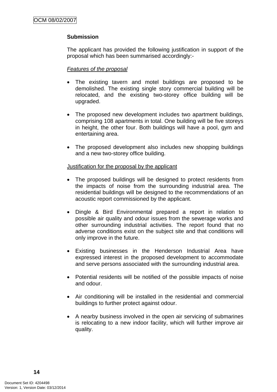# **Submission**

The applicant has provided the following justification in support of the proposal which has been summarised accordingly:-

#### *Features of the proposal*

- The existing tavern and motel buildings are proposed to be demolished. The existing single story commercial building will be relocated, and the existing two-storey office building will be upgraded.
- The proposed new development includes two apartment buildings, comprising 108 apartments in total. One building will be five storeys in height, the other four. Both buildings will have a pool, gym and entertaining area.
- The proposed development also includes new shopping buildings and a new two-storey office building.

#### Justification for the proposal by the applicant

- The proposed buildings will be designed to protect residents from the impacts of noise from the surrounding industrial area. The residential buildings will be designed to the recommendations of an acoustic report commissioned by the applicant.
- Dingle & Bird Environmental prepared a report in relation to possible air quality and odour issues from the sewerage works and other surrounding industrial activities. The report found that no adverse conditions exist on the subject site and that conditions will only improve in the future.
- Existing businesses in the Henderson Industrial Area have expressed interest in the proposed development to accommodate and serve persons associated with the surrounding industrial area.
- Potential residents will be notified of the possible impacts of noise and odour.
- Air conditioning will be installed in the residential and commercial buildings to further protect against odour.
- A nearby business involved in the open air servicing of submarines is relocating to a new indoor facility, which will further improve air quality.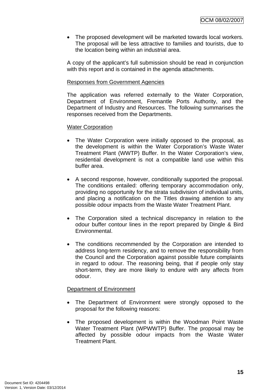• The proposed development will be marketed towards local workers. The proposal will be less attractive to families and tourists, due to the location being within an industrial area.

A copy of the applicant's full submission should be read in conjunction with this report and is contained in the agenda attachments.

#### Responses from Government Agencies

The application was referred externally to the Water Corporation, Department of Environment, Fremantle Ports Authority, and the Department of Industry and Resources. The following summarises the responses received from the Departments.

#### Water Corporation

- The Water Corporation were initially opposed to the proposal, as the development is within the Water Corporation's Waste Water Treatment Plant (WWTP) Buffer. In the Water Corporation's view, residential development is not a compatible land use within this buffer area.
- A second response, however, conditionally supported the proposal. The conditions entailed: offering temporary accommodation only, providing no opportunity for the strata subdivision of individual units, and placing a notification on the Titles drawing attention to any possible odour impacts from the Waste Water Treatment Plant.
- The Corporation sited a technical discrepancy in relation to the odour buffer contour lines in the report prepared by Dingle & Bird Environmental.
- The conditions recommended by the Corporation are intended to address long-term residency, and to remove the responsibility from the Council and the Corporation against possible future complaints in regard to odour. The reasoning being, that if people only stay short-term, they are more likely to endure with any affects from odour.

#### Department of Environment

- The Department of Environment were strongly opposed to the proposal for the following reasons:
- The proposed development is within the Woodman Point Waste Water Treatment Plant (WPWWTP) Buffer. The proposal may be affected by possible odour impacts from the Waste Water Treatment Plant.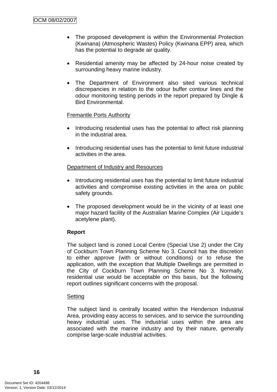- The proposed development is within the Environmental Protection (Kwinana) (Atmospheric Wastes) Policy (Kwinana EPP) area, which has the potential to degrade air quality.
- Residential amenity may be affected by 24-hour noise created by surrounding heavy marine industry.
- The Department of Environment also sited various technical discrepancies in relation to the odour buffer contour lines and the odour monitoring testing periods in the report prepared by Dingle & Bird Environmental.

#### Fremantle Ports Authority

- Introducing residential uses has the potential to affect risk planning in the industrial area.
- Introducing residential uses has the potential to limit future industrial activities in the area.

#### Department of Industry and Resources

- Introducing residential uses has the potential to limit future industrial activities and compromise existing activities in the area on public safety grounds.
- The proposed development would be in the vicinity of at least one major hazard facility of the Australian Marine Complex (Air Liquide's acetylene plant).

#### **Report**

The subject land is zoned Local Centre (Special Use 2) under the City of Cockburn Town Planning Scheme No 3. Council has the discretion to either approve (with or without conditions) or to refuse the application, with the exception that Multiple Dwellings are permitted in the City of Cockburn Town Planning Scheme No 3. Normally, residential use would be acceptable on this basis, but the following report outlines significant concerns with the proposal.

#### **Setting**

The subject land is centrally located within the Henderson Industrial Area, providing easy access to services, and to service the surrounding heavy industrial uses. The industrial uses within the area are associated with the marine industry and by their nature, generally comprise large-scale industrial activities.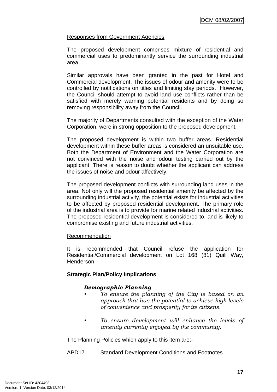#### Responses from Government Agencies

The proposed development comprises mixture of residential and commercial uses to predominantly service the surrounding industrial area.

Similar approvals have been granted in the past for Hotel and Commercial development. The issues of odour and amenity were to be controlled by notifications on titles and limiting stay periods. However, the Council should attempt to avoid land use conflicts rather than be satisfied with merely warning potential residents and by doing so removing responsibility away from the Council.

The majority of Departments consulted with the exception of the Water Corporation, were in strong opposition to the proposed development.

The proposed development is within two buffer areas. Residential development within these buffer areas is considered an unsuitable use. Both the Department of Environment and the Water Corporation are not convinced with the noise and odour testing carried out by the applicant. There is reason to doubt whether the applicant can address the issues of noise and odour affectively.

The proposed development conflicts with surrounding land uses in the area. Not only will the proposed residential amenity be affected by the surrounding industrial activity, the potential exists for industrial activities to be affected by proposed residential development. The primary role of the industrial area is to provide for marine related industrial activities. The proposed residential development is considered to, and is likely to compromise existing and future industrial activities.

#### Recommendation

It is recommended that Council refuse the application for Residential/Commercial development on Lot 168 (81) Quill Way, Henderson

# **Strategic Plan/Policy Implications**

#### *Demographic Planning*

- *To ensure the planning of the City is based on an approach that has the potential to achieve high levels of convenience and prosperity for its citizens.*
- *To ensure development will enhance the levels of amenity currently enjoyed by the community.*

The Planning Policies which apply to this item are:-

APD17 Standard Development Conditions and Footnotes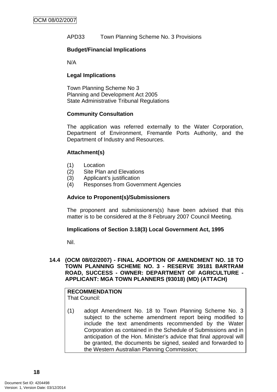<span id="page-21-0"></span>APD33 Town Planning Scheme No. 3 Provisions

#### **Budget/Financial Implications**

N/A

## **Legal Implications**

Town Planning Scheme No 3 Planning and Development Act 2005 State Administrative Tribunal Regulations

## **Community Consultation**

The application was referred externally to the Water Corporation, Department of Environment, Fremantle Ports Authority, and the Department of Industry and Resources.

## **Attachment(s)**

- (1) Location
- (2) Site Plan and Elevations
- (3) Applicant's justification
- (4) Responses from Government Agencies

#### **Advice to Proponent(s)/Submissioners**

The proponent and submissioners(s) have been advised that this matter is to be considered at the 8 February 2007 Council Meeting.

#### **Implications of Section 3.18(3) Local Government Act, 1995**

Nil.

#### **14.4 (OCM 08/02/2007) - FINAL ADOPTION OF AMENDMENT NO. 18 TO TOWN PLANNING SCHEME NO. 3 - RESERVE 39181 BARTRAM ROAD, SUCCESS - OWNER: DEPARTMENT OF AGRICULTURE - APPLICANT: MGA TOWN PLANNERS (93018) (MD) (ATTACH)**

#### **RECOMMENDATION** That Council:

(1) adopt Amendment No. 18 to Town Planning Scheme No. 3 subject to the scheme amendment report being modified to include the text amendments recommended by the Water Corporation as contained in the Schedule of Submissions and in anticipation of the Hon. Minister's advice that final approval will be granted, the documents be signed, sealed and forwarded to the Western Australian Planning Commission;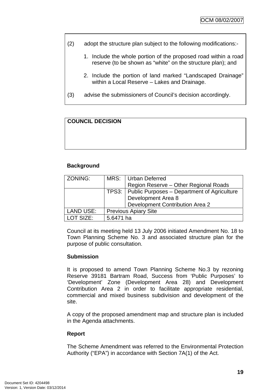- (2) adopt the structure plan subject to the following modifications:-
	- 1. Include the whole portion of the proposed road within a road reserve (to be shown as "white" on the structure plan); and
	- 2. Include the portion of land marked "Landscaped Drainage" within a Local Reserve – Lakes and Drainage.
- (3) advise the submissioners of Council's decision accordingly.

# **COUNCIL DECISION**

## **Background**

| ZONING:           |                             | MRS: Urban Deferred                                 |  |
|-------------------|-----------------------------|-----------------------------------------------------|--|
|                   |                             | Region Reserve - Other Regional Roads               |  |
|                   |                             | TPS3:   Public Purposes – Department of Agriculture |  |
|                   |                             | Development Area 8                                  |  |
|                   |                             | Development Contribution Area 2                     |  |
| LAND USE:         | <b>Previous Apiary Site</b> |                                                     |  |
| <b>I OT SIZE:</b> | 5.6471 ha                   |                                                     |  |

Council at its meeting held 13 July 2006 initiated Amendment No. 18 to Town Planning Scheme No. 3 and associated structure plan for the purpose of public consultation.

#### **Submission**

It is proposed to amend Town Planning Scheme No.3 by rezoning Reserve 39181 Bartram Road, Success from 'Public Purposes' to 'Development' Zone (Development Area 28) and Development Contribution Area 2 in order to facilitate appropriate residential, commercial and mixed business subdivision and development of the site.

A copy of the proposed amendment map and structure plan is included in the Agenda attachments.

#### **Report**

The Scheme Amendment was referred to the Environmental Protection Authority ("EPA") in accordance with Section 7A(1) of the Act.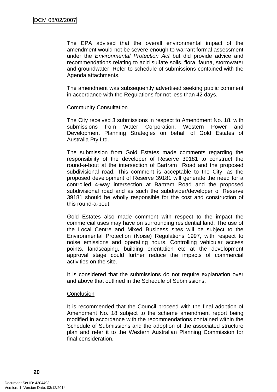The EPA advised that the overall environmental impact of the amendment would not be severe enough to warrant formal assessment under the *Environmental Protection Act* but did provide advice and recommendations relating to acid sulfate soils, flora, fauna, stormwater and groundwater. Refer to schedule of submissions contained with the Agenda attachments.

The amendment was subsequently advertised seeking public comment in accordance with the Regulations for not less than 42 days.

#### Community Consultation

The City received 3 submissions in respect to Amendment No. 18, with submissions from Water Corporation, Western Power and Development Planning Strategies on behalf of Gold Estates of Australia Pty Ltd.

The submission from Gold Estates made comments regarding the responsibility of the developer of Reserve 39181 to construct the round-a-bout at the intersection of Bartram Road and the proposed subdivisional road. This comment is acceptable to the City, as the proposed development of Reserve 39181 will generate the need for a controlled 4-way intersection at Bartram Road and the proposed subdivisional road and as such the subdivider/developer of Reserve 39181 should be wholly responsible for the cost and construction of this round-a-bout.

Gold Estates also made comment with respect to the impact the commercial uses may have on surrounding residential land. The use of the Local Centre and Mixed Business sites will be subject to the Environmental Protection (Noise) Regulations 1997, with respect to noise emissions and operating hours. Controlling vehicular access points, landscaping, building orientation etc at the development approval stage could further reduce the impacts of commercial activities on the site.

It is considered that the submissions do not require explanation over and above that outlined in the Schedule of Submissions.

#### **Conclusion**

It is recommended that the Council proceed with the final adoption of Amendment No. 18 subject to the scheme amendment report being modified in accordance with the recommendations contained within the Schedule of Submissions and the adoption of the associated structure plan and refer it to the Western Australian Planning Commission for final consideration.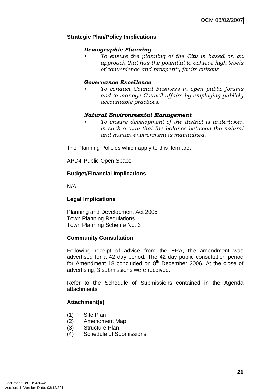#### **Strategic Plan/Policy Implications**

#### *Demographic Planning*

*• To ensure the planning of the City is based on an approach that has the potential to achieve high levels of convenience and prosperity for its citizens.* 

#### *Governance Excellence*

*• To conduct Council business in open public forums and to manage Council affairs by employing publicly accountable practices.* 

#### *Natural Environmental Management*

*• To ensure development of the district is undertaken in such a way that the balance between the natural and human environment is maintained.* 

The Planning Policies which apply to this item are:

APD4 Public Open Space

#### **Budget/Financial Implications**

N/A

#### **Legal Implications**

Planning and Development Act 2005 Town Planning Regulations Town Planning Scheme No. 3

#### **Community Consultation**

Following receipt of advice from the EPA, the amendment was advertised for a 42 day period. The 42 day public consultation period for Amendment 18 concluded on  $8<sup>th</sup>$  December 2006. At the close of advertising, 3 submissions were received.

Refer to the Schedule of Submissions contained in the Agenda attachments.

#### **Attachment(s)**

- (1) Site Plan
- (2) Amendment Map
- (3) Structure Plan
- (4) Schedule of Submissions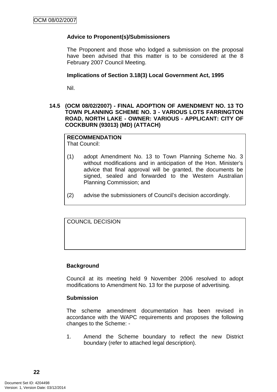# <span id="page-25-0"></span>**Advice to Proponent(s)/Submissioners**

The Proponent and those who lodged a submission on the proposal have been advised that this matter is to be considered at the 8 February 2007 Council Meeting.

#### **Implications of Section 3.18(3) Local Government Act, 1995**

Nil.

#### **14.5 (OCM 08/02/2007) - FINAL ADOPTION OF AMENDMENT NO. 13 TO TOWN PLANNING SCHEME NO. 3 - VARIOUS LOTS FARRINGTON ROAD, NORTH LAKE - OWNER: VARIOUS - APPLICANT: CITY OF COCKBURN (93013) (MD) (ATTACH)**

# **RECOMMENDATION**

That Council:

- (1) adopt Amendment No. 13 to Town Planning Scheme No. 3 without modifications and in anticipation of the Hon. Minister's advice that final approval will be granted, the documents be signed, sealed and forwarded to the Western Australian Planning Commission; and
- (2) advise the submissioners of Council's decision accordingly.

COUNCIL DECISION

#### **Background**

Council at its meeting held 9 November 2006 resolved to adopt modifications to Amendment No. 13 for the purpose of advertising.

#### **Submission**

The scheme amendment documentation has been revised in accordance with the WAPC requirements and proposes the following changes to the Scheme: -

1. Amend the Scheme boundary to reflect the new District boundary (refer to attached legal description).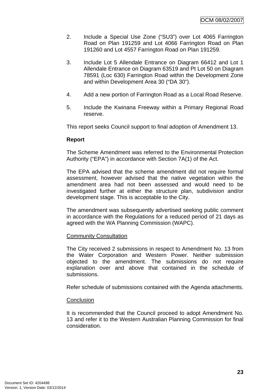- 2. Include a Special Use Zone ("SU3") over Lot 4065 Farrington Road on Plan 191259 and Lot 4066 Farrington Road on Plan 191260 and Lot 4557 Farrington Road on Plan 191259.
- 3. Include Lot 5 Allendale Entrance on Diagram 66412 and Lot 1 Allendale Entrance on Diagram 63519 and Pt Lot 50 on Diagram 78591 (Loc 630) Farrington Road within the Development Zone and within Development Area 30 ("DA 30").
- 4. Add a new portion of Farrington Road as a Local Road Reserve.
- 5. Include the Kwinana Freeway within a Primary Regional Road reserve.

This report seeks Council support to final adoption of Amendment 13.

#### **Report**

The Scheme Amendment was referred to the Environmental Protection Authority ("EPA") in accordance with Section 7A(1) of the Act.

The EPA advised that the scheme amendment did not require formal assessment, however advised that the native vegetation within the amendment area had not been assessed and would need to be investigated further at either the structure plan, subdivision and/or development stage. This is acceptable to the City.

The amendment was subsequently advertised seeking public comment in accordance with the Regulations for a reduced period of 21 days as agreed with the WA Planning Commission (WAPC).

#### Community Consultation

The City received 2 submissions in respect to Amendment No. 13 from the Water Corporation and Western Power. Neither submission objected to the amendment. The submissions do not require explanation over and above that contained in the schedule of submissions.

Refer schedule of submissions contained with the Agenda attachments.

#### **Conclusion**

It is recommended that the Council proceed to adopt Amendment No. 13 and refer it to the Western Australian Planning Commission for final consideration.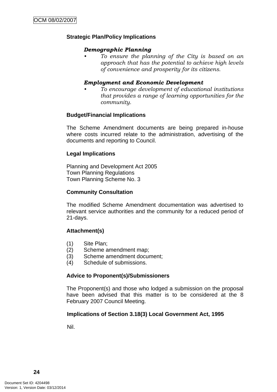## **Strategic Plan/Policy Implications**

#### *Demographic Planning*

*• To ensure the planning of the City is based on an approach that has the potential to achieve high levels of convenience and prosperity for its citizens.* 

#### *Employment and Economic Development*

*• To encourage development of educational institutions that provides a range of learning opportunities for the community.* 

#### **Budget/Financial Implications**

The Scheme Amendment documents are being prepared in-house where costs incurred relate to the administration, advertising of the documents and reporting to Council.

#### **Legal Implications**

Planning and Development Act 2005 Town Planning Regulations Town Planning Scheme No. 3

#### **Community Consultation**

The modified Scheme Amendment documentation was advertised to relevant service authorities and the community for a reduced period of 21-days.

#### **Attachment(s)**

- (1) Site Plan;
- (2) Scheme amendment map;
- (3) Scheme amendment document;
- (4) Schedule of submissions.

#### **Advice to Proponent(s)/Submissioners**

The Proponent(s) and those who lodged a submission on the proposal have been advised that this matter is to be considered at the 8 February 2007 Council Meeting.

#### **Implications of Section 3.18(3) Local Government Act, 1995**

Nil.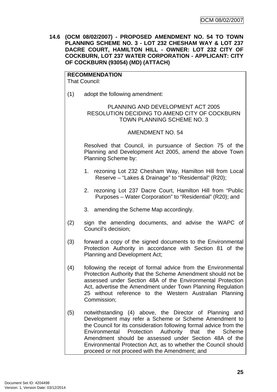<span id="page-28-0"></span>**14.6 (OCM 08/02/2007) - PROPOSED AMENDMENT NO. 54 TO TOWN PLANNING SCHEME NO. 3 - LOT 232 CHESHAM WAY & LOT 237 DACRE COURT, HAMILTON HILL - OWNER: LOT 232 CITY OF COCKBURN, LOT 237 WATER CORPORATION - APPLICANT: CITY OF COCKBURN (93054) (MD) (ATTACH)** 

**RECOMMENDATION** That Council:

(1) adopt the following amendment:

#### PLANNING AND DEVELOPMENT ACT 2005 RESOLUTION DECIDING TO AMEND CITY OF COCKBURN TOWN PLANNING SCHEME NO. 3

#### AMENDMENT NO. 54

Resolved that Council, in pursuance of Section 75 of the Planning and Development Act 2005, amend the above Town Planning Scheme by:

- 1. rezoning Lot 232 Chesham Way, Hamilton Hill from Local Reserve – "Lakes & Drainage" to "Residential" (R20);
- 2. rezoning Lot 237 Dacre Court, Hamilton Hill from "Public Purposes – Water Corporation" to "Residential" (R20); and
- 3. amending the Scheme Map accordingly.
- (2) sign the amending documents, and advise the WAPC of Council's decision;
- (3) forward a copy of the signed documents to the Environmental Protection Authority in accordance with Section 81 of the Planning and Development Act;
- (4) following the receipt of formal advice from the Environmental Protection Authority that the Scheme Amendment should not be assessed under Section 48A of the Environmental Protection Act, advertise the Amendment under Town Planning Regulation 25 without reference to the Western Australian Planning Commission;
- (5) notwithstanding (4) above, the Director of Planning and Development may refer a Scheme or Scheme Amendment to the Council for its consideration following formal advice from the Environmental Protection Authority that the Scheme Amendment should be assessed under Section 48A of the Environmental Protection Act, as to whether the Council should proceed or not proceed with the Amendment; and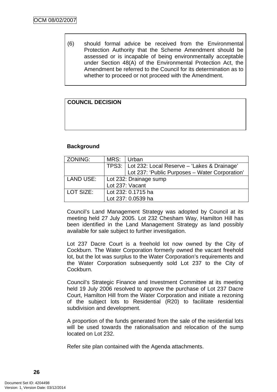(6) should formal advice be received from the Environmental Protection Authority that the Scheme Amendment should be assessed or is incapable of being environmentally acceptable under Section 48(A) of the Environmental Protection Act, the Amendment be referred to the Council for its determination as to whether to proceed or not proceed with the Amendment.

# **COUNCIL DECISION**

## **Background**

| ZONING:          | MRS:                   | Urban                                               |  |
|------------------|------------------------|-----------------------------------------------------|--|
|                  |                        | TPS3:   Lot 232: Local Reserve - 'Lakes & Drainage' |  |
|                  |                        | Lot 237: 'Public Purposes - Water Corporation'      |  |
| <b>LAND USE:</b> | Lot 232: Drainage sump |                                                     |  |
|                  |                        | Lot 237: Vacant                                     |  |
| LOT SIZE:        | Lot 232: 0.1715 ha     |                                                     |  |
|                  |                        | Lot 237: 0.0539 ha                                  |  |

Council's Land Management Strategy was adopted by Council at its meeting held 27 July 2005. Lot 232 Chesham Way, Hamilton Hill has been identified in the Land Management Strategy as land possibly available for sale subject to further investigation.

Lot 237 Dacre Court is a freehold lot now owned by the City of Cockburn. The Water Corporation formerly owned the vacant freehold lot, but the lot was surplus to the Water Corporation's requirements and the Water Corporation subsequently sold Lot 237 to the City of Cockburn.

Council's Strategic Finance and Investment Committee at its meeting held 19 July 2006 resolved to approve the purchase of Lot 237 Dacre Court, Hamilton Hill from the Water Corporation and initiate a rezoning of the subject lots to Residential (R20) to facilitate residential subdivision and development.

A proportion of the funds generated from the sale of the residential lots will be used towards the rationalisation and relocation of the sump located on Lot 232.

Refer site plan contained with the Agenda attachments.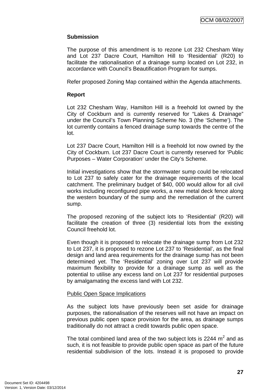## **Submission**

The purpose of this amendment is to rezone Lot 232 Chesham Way and Lot 237 Dacre Court, Hamilton Hill to 'Residential' (R20) to facilitate the rationalisation of a drainage sump located on Lot 232, in accordance with Council's Beautification Program for sumps.

Refer proposed Zoning Map contained within the Agenda attachments.

#### **Report**

Lot 232 Chesham Way, Hamilton Hill is a freehold lot owned by the City of Cockburn and is currently reserved for "Lakes & Drainage" under the Council's Town Planning Scheme No. 3 (the 'Scheme'). The lot currently contains a fenced drainage sump towards the centre of the lot.

Lot 237 Dacre Court, Hamilton Hill is a freehold lot now owned by the City of Cockburn. Lot 237 Dacre Court is currently reserved for 'Public Purposes – Water Corporation' under the City's Scheme.

Initial investigations show that the stormwater sump could be relocated to Lot 237 to safely cater for the drainage requirements of the local catchment. The preliminary budget of \$40, 000 would allow for all civil works including reconfigured pipe works, a new metal deck fence along the western boundary of the sump and the remediation of the current sump.

The proposed rezoning of the subject lots to 'Residential' (R20) will facilitate the creation of three (3) residential lots from the existing Council freehold lot.

Even though it is proposed to relocate the drainage sump from Lot 232 to Lot 237, it is proposed to rezone Lot 237 to 'Residential', as the final design and land area requirements for the drainage sump has not been determined yet. The 'Residential' zoning over Lot 237 will provide maximum flexibility to provide for a drainage sump as well as the potential to utilise any excess land on Lot 237 for residential purposes by amalgamating the excess land with Lot 232.

#### Public Open Space Implications

As the subject lots have previously been set aside for drainage purposes, the rationalisation of the reserves will not have an impact on previous public open space provision for the area, as drainage sumps traditionally do not attract a credit towards public open space.

The total combined land area of the two subject lots is 2244  $m^2$  and as such, it is not feasible to provide public open space as part of the future residential subdivision of the lots. Instead it is proposed to provide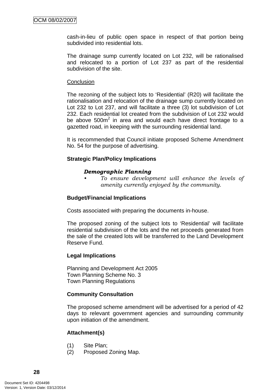cash-in-lieu of public open space in respect of that portion being subdivided into residential lots.

The drainage sump currently located on Lot 232, will be rationalised and relocated to a portion of Lot 237 as part of the residential subdivision of the site.

#### **Conclusion**

The rezoning of the subject lots to 'Residential' (R20) will facilitate the rationalisation and relocation of the drainage sump currently located on Lot 232 to Lot 237, and will facilitate a three (3) lot subdivision of Lot 232. Each residential lot created from the subdivision of Lot 232 would be above  $500m^2$  in area and would each have direct frontage to a gazetted road, in keeping with the surrounding residential land.

It is recommended that Council initiate proposed Scheme Amendment No. 54 for the purpose of advertising.

## **Strategic Plan/Policy Implications**

#### *Demographic Planning*

*• To ensure development will enhance the levels of amenity currently enjoyed by the community.*

#### **Budget/Financial Implications**

Costs associated with preparing the documents in-house.

The proposed zoning of the subject lots to 'Residential' will facilitate residential subdivision of the lots and the net proceeds generated from the sale of the created lots will be transferred to the Land Development Reserve Fund.

#### **Legal Implications**

Planning and Development Act 2005 Town Planning Scheme No. 3 Town Planning Regulations

#### **Community Consultation**

The proposed scheme amendment will be advertised for a period of 42 days to relevant government agencies and surrounding community upon initiation of the amendment.

#### **Attachment(s)**

- (1) Site Plan;
- (2) Proposed Zoning Map.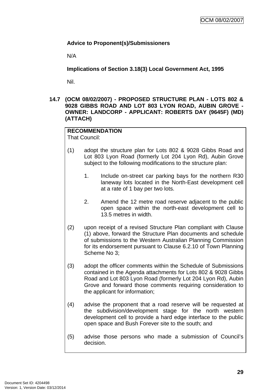# <span id="page-32-0"></span>**Advice to Proponent(s)/Submissioners**

N/A

**Implications of Section 3.18(3) Local Government Act, 1995**

Nil.

**14.7 (OCM 08/02/2007) - PROPOSED STRUCTURE PLAN - LOTS 802 & 9028 GIBBS ROAD AND LOT 803 LYON ROAD, AUBIN GROVE - OWNER: LANDCORP - APPLICANT: ROBERTS DAY (9645F) (MD) (ATTACH)** 

#### **RECOMMENDATION**  That Council:

- (1) adopt the structure plan for Lots 802 & 9028 Gibbs Road and Lot 803 Lyon Road (formerly Lot 204 Lyon Rd), Aubin Grove subject to the following modifications to the structure plan:
	- 1. Include on-street car parking bays for the northern R30 laneway lots located in the North-East development cell at a rate of 1 bay per two lots.
	- 2. Amend the 12 metre road reserve adjacent to the public open space within the north-east development cell to 13.5 metres in width.
- (2) upon receipt of a revised Structure Plan compliant with Clause (1) above, forward the Structure Plan documents and schedule of submissions to the Western Australian Planning Commission for its endorsement pursuant to Clause 6.2.10 of Town Planning Scheme No 3;
- (3) adopt the officer comments within the Schedule of Submissions contained in the Agenda attachments for Lots 802 & 9028 Gibbs Road and Lot 803 Lyon Road (formerly Lot 204 Lyon Rd), Aubin Grove and forward those comments requiring consideration to the applicant for information;
- (4) advise the proponent that a road reserve will be requested at the subdivision/development stage for the north western development cell to provide a hard edge interface to the public open space and Bush Forever site to the south; and
- (5) advise those persons who made a submission of Council's decision.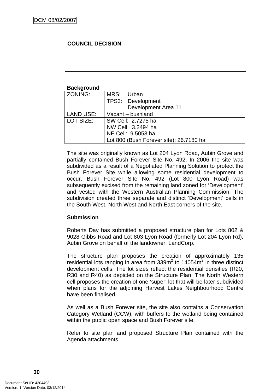#### **COUNCIL DECISION**

#### **Background**

| ZONING:   | MRS:                                    | Urban               |  |  |
|-----------|-----------------------------------------|---------------------|--|--|
|           |                                         | TPS3:   Development |  |  |
|           |                                         | Development Area 11 |  |  |
| LAND USE: | Vacant - bushland                       |                     |  |  |
| LOT SIZE: | SW Cell: 2.7275 ha                      |                     |  |  |
|           | NW Cell: 3.2494 ha                      |                     |  |  |
|           | NE Cell: 9.5058 ha                      |                     |  |  |
|           | Lot 800 (Bush Forever site): 26.7180 ha |                     |  |  |

The site was originally known as Lot 204 Lyon Road, Aubin Grove and partially contained Bush Forever Site No. 492. In 2006 the site was subdivided as a result of a Negotiated Planning Solution to protect the Bush Forever Site while allowing some residential development to occur. Bush Forever Site No. 492 (Lot 800 Lyon Road) was subsequently excised from the remaining land zoned for 'Development' and vested with the Western Australian Planning Commission. The subdivision created three separate and distinct 'Development' cells in the South West, North West and North East corners of the site.

#### **Submission**

Roberts Day has submitted a proposed structure plan for Lots 802 & 9028 Gibbs Road and Lot 803 Lyon Road (formerly Lot 204 Lyon Rd), Aubin Grove on behalf of the landowner, LandCorp.

The structure plan proposes the creation of approximately 135 residential lots ranging in area from  $339m^2$  to 14054 $m^2$  in three distinct development cells. The lot sizes reflect the residential densities (R20, R30 and R40) as depicted on the Structure Plan. The North Western cell proposes the creation of one 'super' lot that will be later subdivided when plans for the adjoining Harvest Lakes Neighbourhood Centre have been finalised.

As well as a Bush Forever site, the site also contains a Conservation Category Wetland (CCW), with buffers to the wetland being contained within the public open space and Bush Forever site.

Refer to site plan and proposed Structure Plan contained with the Agenda attachments.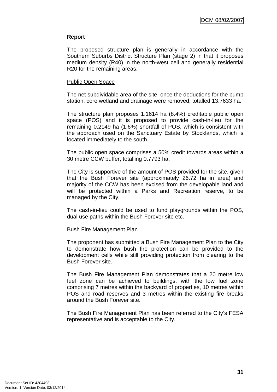#### **Report**

The proposed structure plan is generally in accordance with the Southern Suburbs District Structure Plan (stage 2) in that it proposes medium density (R40) in the north-west cell and generally residential R20 for the remaining areas.

#### Public Open Space

The net subdividable area of the site, once the deductions for the pump station, core wetland and drainage were removed, totalled 13.7633 ha.

The structure plan proposes 1.1614 ha (8.4%) creditable public open space (POS) and it is proposed to provide cash-in-lieu for the remaining 0.2149 ha (1.6%) shortfall of POS, which is consistent with the approach used on the Sanctuary Estate by Stocklands, which is located immediately to the south.

The public open space comprises a 50% credit towards areas within a 30 metre CCW buffer, totalling 0.7793 ha.

The City is supportive of the amount of POS provided for the site, given that the Bush Forever site (approximately 26.72 ha in area) and majority of the CCW has been excised from the developable land and will be protected within a Parks and Recreation reserve, to be managed by the City.

The cash-in-lieu could be used to fund playgrounds within the POS, dual use paths within the Bush Forever site etc.

#### Bush Fire Management Plan

The proponent has submitted a Bush Fire Management Plan to the City to demonstrate how bush fire protection can be provided to the development cells while still providing protection from clearing to the Bush Forever site.

The Bush Fire Management Plan demonstrates that a 20 metre low fuel zone can be achieved to buildings, with the low fuel zone comprising 7 metres within the backyard of properties, 10 metres within POS and road reserves and 3 metres within the existing fire breaks around the Bush Forever site.

The Bush Fire Management Plan has been referred to the City's FESA representative and is acceptable to the City.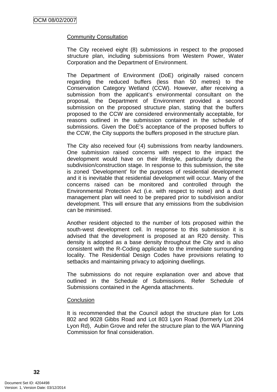#### Community Consultation

The City received eight (8) submissions in respect to the proposed structure plan, including submissions from Western Power, Water Corporation and the Department of Environment.

The Department of Environment (DoE) originally raised concern regarding the reduced buffers (less than 50 metres) to the Conservation Category Wetland (CCW). However, after receiving a submission from the applicant's environmental consultant on the proposal, the Department of Environment provided a second submission on the proposed structure plan, stating that the buffers proposed to the CCW are considered environmentally acceptable, for reasons outlined in the submission contained in the schedule of submissions. Given the DoE's acceptance of the proposed buffers to the CCW, the City supports the buffers proposed in the structure plan.

The City also received four (4) submissions from nearby landowners. One submission raised concerns with respect to the impact the development would have on their lifestyle, particularly during the subdivision/construction stage. In response to this submission, the site is zoned 'Development' for the purposes of residential development and it is inevitable that residential development will occur. Many of the concerns raised can be monitored and controlled through the Environmental Protection Act (i.e. with respect to noise) and a dust management plan will need to be prepared prior to subdivision and/or development. This will ensure that any emissions from the subdivision can be minimised.

Another resident objected to the number of lots proposed within the south-west development cell. In response to this submission it is advised that the development is proposed at an R20 density. This density is adopted as a base density throughout the City and is also consistent with the R-Coding applicable to the immediate surrounding locality. The Residential Design Codes have provisions relating to setbacks and maintaining privacy to adjoining dwellings.

The submissions do not require explanation over and above that outlined in the Schedule of Submissions. Refer Schedule of Submissions contained in the Agenda attachments.

#### **Conclusion**

It is recommended that the Council adopt the structure plan for Lots 802 and 9028 Gibbs Road and Lot 803 Lyon Road (formerly Lot 204 Lyon Rd), Aubin Grove and refer the structure plan to the WA Planning Commission for final consideration.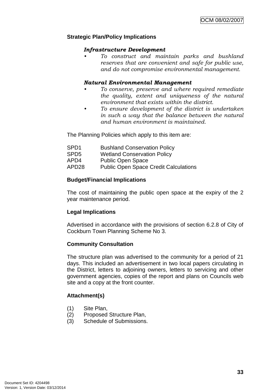# **Strategic Plan/Policy Implications**

#### *Infrastructure Development*

*• To construct and maintain parks and bushland reserves that are convenient and safe for public use, and do not compromise environmental management.* 

# *Natural Environmental Management*

- *To conserve, preserve and where required remediate the quality, extent and uniqueness of the natural environment that exists within the district.*
- *To ensure development of the district is undertaken in such a way that the balance between the natural and human environment is maintained.*

The Planning Policies which apply to this item are:

| SPD1  | <b>Bushland Conservation Policy</b>          |
|-------|----------------------------------------------|
| SPD5  | <b>Wetland Conservation Policy</b>           |
| APD4  | <b>Public Open Space</b>                     |
| APD28 | <b>Public Open Space Credit Calculations</b> |

# **Budget/Financial Implications**

The cost of maintaining the public open space at the expiry of the 2 year maintenance period.

# **Legal Implications**

Advertised in accordance with the provisions of section 6.2.8 of City of Cockburn Town Planning Scheme No 3.

# **Community Consultation**

The structure plan was advertised to the community for a period of 21 days. This included an advertisement in two local papers circulating in the District, letters to adjoining owners, letters to servicing and other government agencies, copies of the report and plans on Councils web site and a copy at the front counter.

# **Attachment(s)**

- (1) Site Plan,
- (2) Proposed Structure Plan,
- (3) Schedule of Submissions.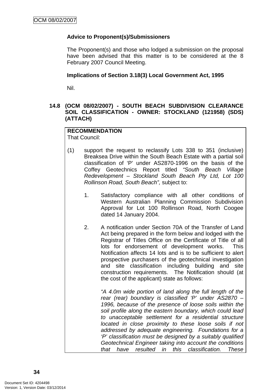# **Advice to Proponent(s)/Submissioners**

The Proponent(s) and those who lodged a submission on the proposal have been advised that this matter is to be considered at the 8 February 2007 Council Meeting.

#### **Implications of Section 3.18(3) Local Government Act, 1995**

Nil.

# **14.8 (OCM 08/02/2007) - SOUTH BEACH SUBDIVISION CLEARANCE SOIL CLASSIFICATION - OWNER: STOCKLAND (121958) (SDS) (ATTACH)**

#### **RECOMMENDATION**  That Council:

- (1) support the request to reclassify Lots 338 to 351 (inclusive) Breaksea Drive within the South Beach Estate with a partial soil classification of 'P' under AS2870-1996 on the basis of the Coffey Geotechnics Report titled *"South Beach Village Redevelopment – Stockland South Beach Pty Ltd, Lot 100 Rollinson Road, South Beach",* subject to:
	- 1. Satisfactory compliance with all other conditions of Western Australian Planning Commission Subdivision Approval for Lot 100 Rollinson Road, North Coogee dated 14 January 2004.
	- 2. A notification under Section 70A of the Transfer of Land Act being prepared in the form below and lodged with the Registrar of Titles Office on the Certificate of Title of all lots for endorsement of development works. This Notification affects 14 lots and is to be sufficient to alert prospective purchasers of the geotechnical investigation and site classification including building and site construction requirements. The Notification should (at the cost of the applicant) state as follows:

 *"A 4.0m wide portion of land along the full length of the rear (rear) boundary is classified 'P' under AS2870 – 1996, because of the presence of loose soils within the soil profile along the eastern boundary, which could lead to unacceptable settlement for a residential structure located in close proximity to these loose soils if not addressed by adequate engineering. Foundations for a 'P' classification must be designed by a suitably qualified Geotechnical Engineer taking into account the conditions that have resulted in this classification. These*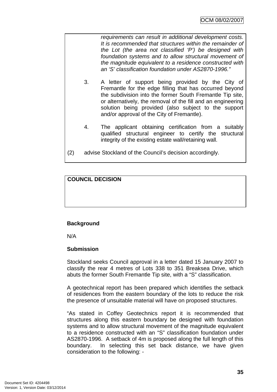*requirements can result in additional development costs. It is recommended that structures within the remainder of the Lot (the area not classified 'P') be designed with foundation systems and to allow structural movement of the magnitude equivalent to a residence constructed with an 'S' classification foundation under AS2870-1996."* 

- 3. A letter of support being provided by the City of Fremantle for the edge filling that has occurred beyond the subdivision into the former South Fremantle Tip site, or alternatively, the removal of the fill and an engineering solution being provided (also subject to the support and/or approval of the City of Fremantle).
- 4. The applicant obtaining certification from a suitably qualified structural engineer to certify the structural integrity of the existing estate wall/retaining wall.
- (2) advise Stockland of the Council's decision accordingly.

# **COUNCIL DECISION**

# **Background**

N/A

# **Submission**

Stockland seeks Council approval in a letter dated 15 January 2007 to classify the rear 4 metres of Lots 338 to 351 Breaksea Drive, which abuts the former South Fremantle Tip site, with a "S" classification.

A geotechnical report has been prepared which identifies the setback of residences from the eastern boundary of the lots to reduce the risk the presence of unsuitable material will have on proposed structures.

"As stated in Coffey Geotechnics report it is recommended that structures along this eastern boundary be designed with foundation systems and to allow structural movement of the magnitude equivalent to a residence constructed with an "S" classification foundation under AS2870-1996. A setback of 4m is proposed along the full length of this boundary. In selecting this set back distance, we have given consideration to the following: -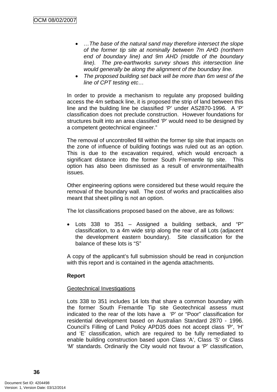- *…The base of the natural sand may therefore intersect the slope of the former tip site at nominally between 7m AHD (northern end of boundary line) and 9m AHD (middle of the boundary line). The pre-earthworks survey shows this intersection line would generally be along the alignment of the boundary line.*
- *The proposed building set back will be more than 6m west of the line of CPT testing etc…*

In order to provide a mechanism to regulate any proposed building access the 4m setback line, it is proposed the strip of land between this line and the building line be classified 'P' under AS2870-1996. A 'P' classification does not preclude construction. However foundations for structures built into an area classified 'P' would need to be designed by a competent geotechnical engineer."

The removal of uncontrolled fill within the former tip site that impacts on the zone of influence of building footings was ruled out as an option. This is due to the excavation required, which would encroach a significant distance into the former South Fremantle tip site. This option has also been dismissed as a result of environmental/health issues.

Other engineering options were considered but these would require the removal of the boundary wall. The cost of works and practicalities also meant that sheet piling is not an option.

The lot classifications proposed based on the above, are as follows:

• Lots 338 to 351 – Assigned a building setback, and "P" classification, to a 4m wide strip along the rear of all Lots (adjacent the development eastern boundary). Site classification for the balance of these lots is "S"

A copy of the applicant's full submission should be read in conjunction with this report and is contained in the agenda attachments.

# **Report**

# Geotechnical Investigations

Lots 338 to 351 includes 14 lots that share a common boundary with the former South Fremantle Tip site Geotechnical assess must indicated to the rear of the lots have a 'P' or "Poor" classification for residential development based on Australian Standard 2870 - 1996. Council's Filling of Land Policy APD35 does not accept class 'P', 'H' and 'E' classification, which are required to be fully remediated to enable building construction based upon Class 'A', Class 'S' or Class 'M' standards. Ordinarily the City would not favour a 'P' classification,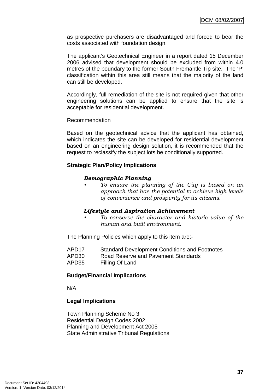as prospective purchasers are disadvantaged and forced to bear the costs associated with foundation design.

The applicant's Geotechnical Engineer in a report dated 15 December 2006 advised that development should be excluded from within 4.0 metres of the boundary to the former South Fremantle Tip site. The 'P' classification within this area still means that the majority of the land can still be developed.

Accordingly, full remediation of the site is not required given that other engineering solutions can be applied to ensure that the site is acceptable for residential development.

#### Recommendation

Based on the geotechnical advice that the applicant has obtained, which indicates the site can be developed for residential development based on an engineering design solution, it is recommended that the request to reclassify the subject lots be conditionally supported.

# **Strategic Plan/Policy Implications**

#### *Demographic Planning*

*• To ensure the planning of the City is based on an approach that has the potential to achieve high levels of convenience and prosperity for its citizens.* 

# *Lifestyle and Aspiration Achievement*

*• To conserve the character and historic value of the human and built environment.* 

The Planning Policies which apply to this item are:-

| APD <sub>17</sub> | <b>Standard Development Conditions and Footnotes</b> |
|-------------------|------------------------------------------------------|
| APD30             | Road Reserve and Pavement Standards                  |
| APD35             | Filling Of Land                                      |

# **Budget/Financial Implications**

N/A

# **Legal Implications**

Town Planning Scheme No 3 Residential Design Codes 2002 Planning and Development Act 2005 State Administrative Tribunal Regulations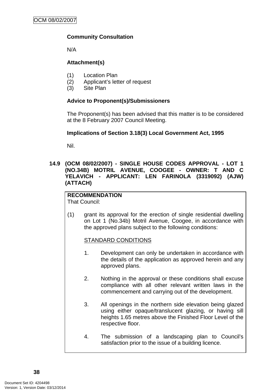# **Community Consultation**

N/A

# **Attachment(s)**

- (1) Location Plan
- (2) Applicant's letter of request
- (3) Site Plan

# **Advice to Proponent(s)/Submissioners**

The Proponent(s) has been advised that this matter is to be considered at the 8 February 2007 Council Meeting.

# **Implications of Section 3.18(3) Local Government Act, 1995**

Nil.

# **14.9 (OCM 08/02/2007) - SINGLE HOUSE CODES APPROVAL - LOT 1 (NO.34B) MOTRIL AVENUE, COOGEE - OWNER: T AND C YELAVICH - APPLICANT: LEN FARINOLA (3319092) (AJW) (ATTACH)**

#### **RECOMMENDATION**  That Council:

(1) grant its approval for the erection of single residential dwelling on Lot 1 (No.34b) Motril Avenue, Coogee, in accordance with the approved plans subject to the following conditions:

# STANDARD CONDITIONS

- 1. Development can only be undertaken in accordance with the details of the application as approved herein and any approved plans.
- 2. Nothing in the approval or these conditions shall excuse compliance with all other relevant written laws in the commencement and carrying out of the development.
- 3. All openings in the northern side elevation being glazed using either opaque/translucent glazing, or having sill heights 1.65 metres above the Finished Floor Level of the respective floor.
- 4. The submission of a landscaping plan to Council's satisfaction prior to the issue of a building licence.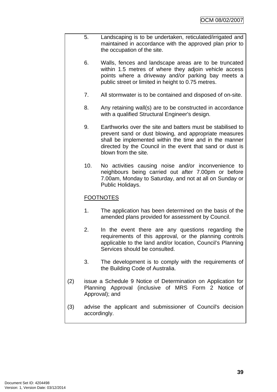- 5. Landscaping is to be undertaken, reticulated/irrigated and maintained in accordance with the approved plan prior to the occupation of the site.
	- 6. Walls, fences and landscape areas are to be truncated within 1.5 metres of where they adjoin vehicle access points where a driveway and/or parking bay meets a public street or limited in height to 0.75 metres.
	- 7. All stormwater is to be contained and disposed of on-site.
	- 8. Any retaining wall(s) are to be constructed in accordance with a qualified Structural Engineer's design.
	- 9. Earthworks over the site and batters must be stabilised to prevent sand or dust blowing, and appropriate measures shall be implemented within the time and in the manner directed by the Council in the event that sand or dust is blown from the site.
	- 10. No activities causing noise and/or inconvenience to neighbours being carried out after 7.00pm or before 7.00am, Monday to Saturday, and not at all on Sunday or Public Holidays.

# FOOTNOTES

- 1. The application has been determined on the basis of the amended plans provided for assessment by Council.
- 2. In the event there are any questions regarding the requirements of this approval, or the planning controls applicable to the land and/or location, Council's Planning Services should be consulted.
- 3. The development is to comply with the requirements of the Building Code of Australia.
- (2) issue a Schedule 9 Notice of Determination on Application for Planning Approval (inclusive of MRS Form 2 Notice of Approval); and
- (3) advise the applicant and submissioner of Council's decision accordingly.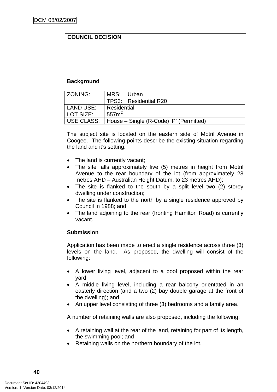# **COUNCIL DECISION**

# **Background**

| l ZONING:         | MRS: Urban        |                                         |  |
|-------------------|-------------------|-----------------------------------------|--|
|                   |                   | TPS3:   Residential R20                 |  |
| LAND USE:         | Residential       |                                         |  |
| l LOT SIZE:       | 557m <sup>2</sup> |                                         |  |
| <b>USE CLASS:</b> |                   | House – Single (R-Code) 'P' (Permitted) |  |

The subject site is located on the eastern side of Motril Avenue in Coogee. The following points describe the existing situation regarding the land and it's setting:

- The land is currently vacant;
- The site falls approximately five (5) metres in height from Motril Avenue to the rear boundary of the lot (from approximately 28 metres AHD – Australian Height Datum, to 23 metres AHD);
- The site is flanked to the south by a split level two (2) storey dwelling under construction;
- The site is flanked to the north by a single residence approved by Council in 1988; and
- The land adjoining to the rear (fronting Hamilton Road) is currently vacant.

# **Submission**

Application has been made to erect a single residence across three (3) levels on the land. As proposed, the dwelling will consist of the following:

- A lower living level, adjacent to a pool proposed within the rear yard;
- A middle living level, including a rear balcony orientated in an easterly direction (and a two (2) bay double garage at the front of the dwelling); and
- An upper level consisting of three (3) bedrooms and a family area.

A number of retaining walls are also proposed, including the following:

- A retaining wall at the rear of the land, retaining for part of its length, the swimming pool; and
- Retaining walls on the northern boundary of the lot.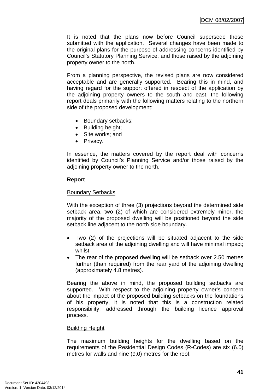It is noted that the plans now before Council supersede those submitted with the application. Several changes have been made to the original plans for the purpose of addressing concerns identified by Council's Statutory Planning Service, and those raised by the adjoining property owner to the north.

From a planning perspective, the revised plans are now considered acceptable and are generally supported. Bearing this in mind, and having regard for the support offered in respect of the application by the adjoining property owners to the south and east, the following report deals primarily with the following matters relating to the northern side of the proposed development:

- Boundary setbacks;
- Building height;
- Site works; and
- Privacy.

In essence, the matters covered by the report deal with concerns identified by Council's Planning Service and/or those raised by the adioining property owner to the north.

# **Report**

# Boundary Setbacks

With the exception of three (3) projections beyond the determined side setback area, two (2) of which are considered extremely minor, the majority of the proposed dwelling will be positioned beyond the side setback line adjacent to the north side boundary.

- Two (2) of the projections will be situated adjacent to the side setback area of the adjoining dwelling and will have minimal impact; whilst
- The rear of the proposed dwelling will be setback over 2.50 metres further (than required) from the rear yard of the adjoining dwelling (approximately 4.8 metres).

Bearing the above in mind, the proposed building setbacks are supported. With respect to the adjoining property owner's concern about the impact of the proposed building setbacks on the foundations of his property, it is noted that this is a construction related responsibility, addressed through the building licence approval process.

# Building Height

The maximum building heights for the dwelling based on the requirements of the Residential Design Codes (R-Codes) are six (6.0) metres for walls and nine (9.0) metres for the roof.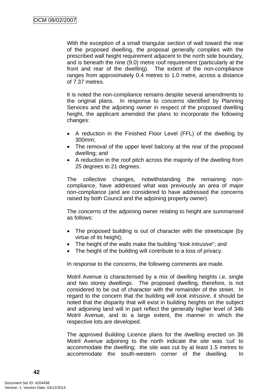With the exception of a small triangular section of wall toward the rear of the proposed dwelling, the proposal generally complies with the prescribed wall height requirement adjacent to the north side boundary, and is beneath the nine (9.0) metre roof requirement (particularly at the front and rear of the dwelling). The extent of the non-compliance ranges from approximately 0.4 metres to 1.0 metre, across a distance of 7.37 metres.

It is noted the non-compliance remains despite several amendments to the original plans. In response to concerns identified by Planning Services and the adjoining owner in respect of the proposed dwelling height, the applicant amended the plans to incorporate the following changes:

- A reduction in the Finished Floor Level (FFL) of the dwelling by 300mm;
- The removal of the upper level balcony at the rear of the proposed dwelling; and
- A reduction in the roof pitch across the majority of the dwelling from 25 degrees to 21 degrees.

The collective changes, notwithstanding the remaining noncompliance, have addressed what was previously an area of major non-compliance (and are considered to have addressed the concerns raised by both Council and the adjoining property owner).

The concerns of the adjoining owner relating to height are summarised as follows:

- The proposed building is out of character with the streetscape (by virtue of its height);
- The height of the walls make the building "*look intrusive*"; and
- The height of the building will contribute to a loss of privacy.

In response to the concerns, the following comments are made.

Motril Avenue is characterised by a mix of dwelling heights i.e. single and two storey dwellings. The proposed dwelling, therefore, is not considered to be out of character with the remainder of the street. In regard to the concern that the building will *look intrusive*, it should be noted that the disparity that will exist in building heights on the subject and adjoining land will in part reflect the generally higher level of 34b Motril Avenue, and to a large extent, the manner in which the respective lots are developed.

The approved Building Licence plans for the dwelling erected on 36 Motril Avenue adjoining to the north indicate the site was 'cut' to accommodate the dwelling; the site was cut by at least 1.5 metres to accommodate the south-western corner of the dwelling. In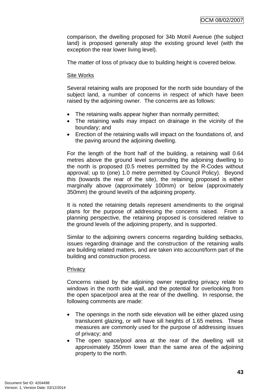comparison, the dwelling proposed for 34b Motril Avenue (the subject land) is proposed generally atop the existing ground level (with the exception the rear lower living level).

The matter of loss of privacy due to building height is covered below.

# Site Works

Several retaining walls are proposed for the north side boundary of the subject land, a number of concerns in respect of which have been raised by the adjoining owner. The concerns are as follows:

- The retaining walls appear higher than normally permitted;
- The retaining walls may impact on drainage in the vicinity of the boundary; and
- Erection of the retaining walls will impact on the foundations of, and the paving around the adjoining dwelling.

For the length of the front half of the building, a retaining wall 0.64 metres above the ground level surrounding the adjoining dwelling to the north is proposed (0.5 metres permitted by the R-Codes without approval; up to (one) 1.0 metre permitted by Council Policy). Beyond this (towards the rear of the site), the retaining proposed is either marginally above (approximately 100mm) or below (approximately 350mm) the ground level/s of the adjoining property.

It is noted the retaining details represent amendments to the original plans for the purpose of addressing the concerns raised. From a planning perspective, the retaining proposed is considered relative to the ground levels of the adjoining property, and is supported.

Similar to the adjoining owners concerns regarding building setbacks, issues regarding drainage and the construction of the retaining walls are building related matters, and are taken into account/form part of the building and construction process.

# **Privacy**

Concerns raised by the adjoining owner regarding privacy relate to windows in the north side wall, and the potential for overlooking from the open space/pool area at the rear of the dwelling. In response, the following comments are made:

- The openings in the north side elevation will be either glazed using translucent glazing, or will have sill heights of 1.65 metres. These measures are commonly used for the purpose of addressing issues of privacy; and
- The open space/pool area at the rear of the dwelling will sit approximately 350mm lower than the same area of the adjoining property to the north.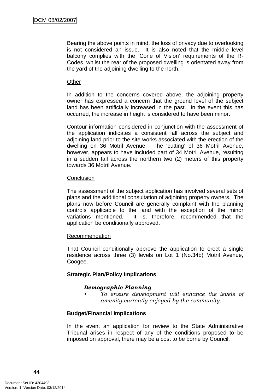Bearing the above points in mind, the loss of privacy due to overlooking is not considered an issue. It is also noted that the middle level balcony complies with the 'Cone of Vision' requirements of the R-Codes, whilst the rear of the proposed dwelling is orientated away from the yard of the adjoining dwelling to the north.

#### **Other**

In addition to the concerns covered above, the adjoining property owner has expressed a concern that the ground level of the subject land has been artificially increased in the past. In the event this has occurred, the increase in height is considered to have been minor.

Contour information considered in conjunction with the assessment of the application indicates a consistent fall across the subject and adjoining land prior to the site works associated with the erection of the dwelling on 36 Motril Avenue. The 'cutting' of 36 Motril Avenue, however, appears to have included part of 34 Motril Avenue, resulting in a sudden fall across the northern two (2) meters of this property towards 36 Motril Avenue.

# **Conclusion**

The assessment of the subject application has involved several sets of plans and the additional consultation of adjoining property owners. The plans now before Council are generally complaint with the planning controls applicable to the land with the exception of the minor variations mentioned. It is, therefore, recommended that the application be conditionally approved.

# Recommendation

That Council conditionally approve the application to erect a single residence across three (3) levels on Lot 1 (No.34b) Motril Avenue, Coogee.

# **Strategic Plan/Policy Implications**

#### *Demographic Planning*

*• To ensure development will enhance the levels of amenity currently enjoyed by the community.*

# **Budget/Financial Implications**

In the event an application for review to the State Administrative Tribunal arises in respect of any of the conditions proposed to be imposed on approval, there may be a cost to be borne by Council.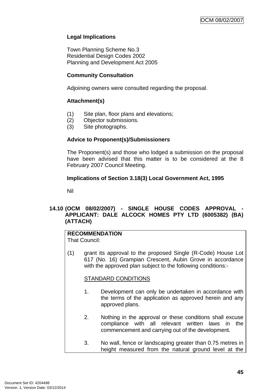# **Legal Implications**

Town Planning Scheme No.3 Residential Design Codes 2002 Planning and Development Act 2005

# **Community Consultation**

Adjoining owners were consulted regarding the proposal.

# **Attachment(s)**

- (1) Site plan, floor plans and elevations;
- (2) Objector submissions.
- (3) Site photographs.

# **Advice to Proponent(s)/Submissioners**

The Proponent(s) and those who lodged a submission on the proposal have been advised that this matter is to be considered at the 8 February 2007 Council Meeting.

# **Implications of Section 3.18(3) Local Government Act, 1995**

Nil

# 14.10 (OCM 08/02/2007) - SINGLE HOUSE CODES APPROVAL **APPLICANT: DALE ALCOCK HOMES PTY LTD (6005382) (BA) (ATTACH)**

# **RECOMMENDATION**

That Council:

(1) grant its approval to the proposed Single (R-Code) House Lot 617 (No. 16) Grampian Crescent, Aubin Grove in accordance with the approved plan subject to the following conditions:-

# STANDARD CONDITIONS

- 1. Development can only be undertaken in accordance with the terms of the application as approved herein and any approved plans.
- 2. Nothing in the approval or these conditions shall excuse compliance with all relevant written laws in the commencement and carrying out of the development.
- 3. No wall, fence or landscaping greater than 0.75 metres in height measured from the natural ground level at the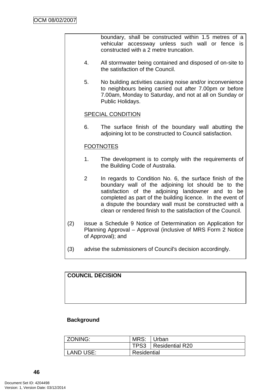boundary, shall be constructed within 1.5 metres of a vehicular accessway unless such wall or fence is constructed with a 2 metre truncation.

- 4. All stormwater being contained and disposed of on-site to the satisfaction of the Council.
- 5. No building activities causing noise and/or inconvenience to neighbours being carried out after 7.00pm or before 7.00am, Monday to Saturday, and not at all on Sunday or Public Holidays.

# SPECIAL CONDITION

6. The surface finish of the boundary wall abutting the adjoining lot to be constructed to Council satisfaction.

#### **FOOTNOTES**

- 1. The development is to comply with the requirements of the Building Code of Australia.
- 2 In regards to Condition No. 6, the surface finish of the boundary wall of the adjoining lot should be to the satisfaction of the adjoining landowner and to be completed as part of the building licence. In the event of a dispute the boundary wall must be constructed with a clean or rendered finish to the satisfaction of the Council.
- (2) issue a Schedule 9 Notice of Determination on Application for Planning Approval – Approval (inclusive of MRS Form 2 Notice of Approval); and
- (3) advise the submissioners of Council's decision accordingly.

# **COUNCIL DECISION**

# **Background**

| ZONING:   | MRS: Urban  |                        |
|-----------|-------------|------------------------|
|           |             | TPS3   Residential R20 |
| LAND USE: | Residential |                        |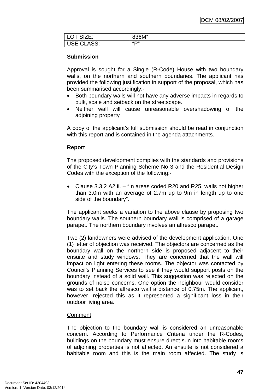| LOT SIZE:  | 836M <sup>2</sup> |
|------------|-------------------|
| USE CLASS: | "                 |

# **Submission**

Approval is sought for a Single (R-Code) House with two boundary walls, on the northern and southern boundaries. The applicant has provided the following justification in support of the proposal, which has been summarised accordingly:-

- Both boundary walls will not have any adverse impacts in regards to bulk, scale and setback on the streetscape.
- Neither wall will cause unreasonable overshadowing of the adjoining property

A copy of the applicant's full submission should be read in conjunction with this report and is contained in the agenda attachments.

# **Report**

The proposed development complies with the standards and provisions of the City's Town Planning Scheme No 3 and the Residential Design Codes with the exception of the following:-

• Clause 3.3.2 A2 ii. – "In areas coded R20 and R25, walls not higher than 3.0m with an average of 2.7m up to 9m in length up to one side of the boundary".

The applicant seeks a variation to the above clause by proposing two boundary walls. The southern boundary wall is comprised of a garage parapet. The northern boundary involves an alfresco parapet.

Two (2) landowners were advised of the development application. One (1) letter of objection was received. The objectors are concerned as the boundary wall on the northern side is proposed adjacent to their ensuite and study windows. They are concerned that the wall will impact on light entering these rooms. The objector was contacted by Council's Planning Services to see if they would support posts on the boundary instead of a solid wall. This suggestion was rejected on the grounds of noise concerns. One option the neighbour would consider was to set back the alfresco wall a distance of 0.75m. The applicant, however, rejected this as it represented a significant loss in their outdoor living area.

# Comment

The objection to the boundary wall is considered an unreasonable concern. According to Performance Criteria under the R-Codes, buildings on the boundary must ensure direct sun into habitable rooms of adjoining properties is not affected. An ensuite is not considered a habitable room and this is the main room affected. The study is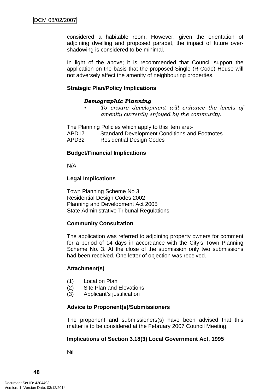considered a habitable room. However, given the orientation of adjoining dwelling and proposed parapet, the impact of future overshadowing is considered to be minimal.

In light of the above; it is recommended that Council support the application on the basis that the proposed Single (R-Code) House will not adversely affect the amenity of neighbouring properties.

# **Strategic Plan/Policy Implications**

# *Demographic Planning*

*• To ensure development will enhance the levels of amenity currently enjoyed by the community.*

The Planning Policies which apply to this item are:-

APD17 Standard Development Conditions and Footnotes

APD32 Residential Design Codes

# **Budget/Financial Implications**

N/A

# **Legal Implications**

Town Planning Scheme No 3 Residential Design Codes 2002 Planning and Development Act 2005 State Administrative Tribunal Regulations

# **Community Consultation**

The application was referred to adjoining property owners for comment for a period of 14 days in accordance with the City's Town Planning Scheme No. 3. At the close of the submission only two submissions had been received. One letter of objection was received.

# **Attachment(s)**

- (1) Location Plan
- (2) Site Plan and Elevations
- (3) Applicant's justification

# **Advice to Proponent(s)/Submissioners**

The proponent and submissioners(s) have been advised that this matter is to be considered at the February 2007 Council Meeting.

# **Implications of Section 3.18(3) Local Government Act, 1995**

Nil

**48**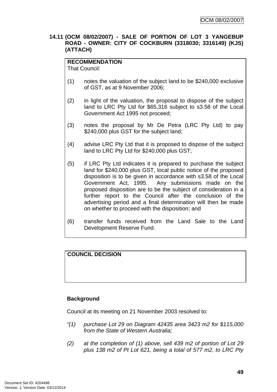# **14.11 (OCM 08/02/2007) - SALE OF PORTION OF LOT 3 YANGEBUP ROAD - OWNER: CITY OF COCKBURN (3318030; 3316149) (KJS) (ATTACH)**

# **RECOMMENDATION**

That Council:

- (1) notes the valuation of the subject land to be \$240,000 exclusive of GST, as at 9 November 2006;
- (2) in light of the valuation, the proposal to dispose of the subject land to LRC Pty Ltd for \$65,316 subject to s3.58 of the Local Government Act 1995 not proceed;
- (3) notes the proposal by Mr De Petra (LRC Pty Ltd) to pay \$240,000 plus GST for the subject land:
- (4) advise LRC Pty Ltd that it is proposed to dispose of the subject land to LRC Pty Ltd for \$240,000 plus GST;
- (5) if LRC Pty Ltd indicates it is prepared to purchase the subject land for \$240,000 plus GST, local public notice of the proposed disposition is to be given in accordance with s3.58 of the Local Government Act, 1995. Any submissions made on the proposed disposition are to be the subject of consideration in a further report to the Council after the conclusion of the advertising period and a final determination will then be made on whether to proceed with the disposition; and
- (6) transfer funds received from the Land Sale to the Land Development Reserve Fund.

# **COUNCIL DECISION**

# **Background**

Council at its meeting on 21 November 2003 resolved to:

- *"(1) purchase Lot 29 on Diagram 42435 area 3423 m2 for \$115,000 from the State of Western Australia;*
- *(2) at the completion of (1) above, sell 439 m2 of portion of Lot 29 plus 138 m2 of Pt Lot 621, being a total of 577 m2, to LRC Pty*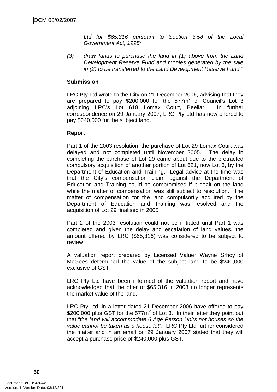*Ltd for \$65,316 pursuant to Section 3.58 of the Local Government Act, 1995;* 

*(3) draw funds to purchase the land in (1) above from the Land Development Reserve Fund and monies generated by the sale in (2) to be transferred to the Land Development Reserve Fund."* 

#### **Submission**

LRC Pty Ltd wrote to the City on 21 December 2006, advising that they are prepared to pay \$200,000 for the  $577m^2$  of Council's Lot 3 adjoining LRC's Lot 618 Lomax Court, Beeliar. In further correspondence on 29 January 2007, LRC Pty Ltd has now offered to pay \$240,000 for the subject land.

#### **Report**

Part 1 of the 2003 resolution, the purchase of Lot 29 Lomax Court was delayed and not completed until November 2005. The delay in completing the purchase of Lot 29 came about due to the protracted compulsory acquisition of another portion of Lot 621, now Lot 3, by the Department of Education and Training. Legal advice at the time was that the City's compensation claim against the Department of Education and Training could be compromised if it dealt on the land while the matter of compensation was still subject to resolution. The matter of compensation for the land compulsorily acquired by the Department of Education and Training was resolved and the acquisition of Lot 29 finalised in 2005

Part 2 of the 2003 resolution could not be initiated until Part 1 was completed and given the delay and escalation of land values, the amount offered by LRC (\$65,316) was considered to be subject to review.

A valuation report prepared by Licensed Valuer Wayne Srhoy of McGees determined the value of the subject land to be \$240,000 exclusive of GST.

LRC Pty Ltd have been informed of the valuation report and have acknowledged that the offer of \$65,316 in 2003 no longer represents the market value of the land.

LRC Pty Ltd, in a letter dated 21 December 2006 have offered to pay \$200,000 plus GST for the 577m<sup>2</sup> of Lot 3. In their letter they point out that "*the land will accommodate 6 Age Person Units not houses so the value cannot be taken as a house lot*". LRC Pty Ltd further considered the matter and in an email on 29 January 2007 stated that they will accept a purchase price of \$240,000 plus GST.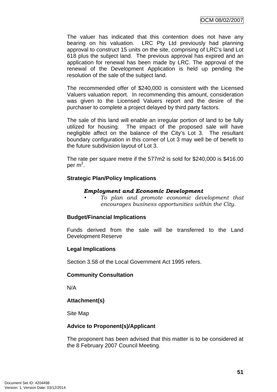The valuer has indicated that this contention does not have any bearing on his valuation. LRC Pty Ltd previously had planning approval to construct 15 units on the site, comprising of LRC's land Lot 618 plus the subject land. The previous approval has expired and an application for renewal has been made by LRC. The approval of the renewal of the Development Application is held up pending the resolution of the sale of the subject land.

The recommended offer of \$240,000 is consistent with the Licensed Valuers valuation report. In recommending this amount, consideration was given to the Licensed Valuers report and the desire of the purchaser to complete a project delayed by third party factors.

The sale of this land will enable an irregular portion of land to be fully utilized for housing. The impact of the proposed sale will have negligible affect on the balance of the City's Lot 3. The resultant boundary configuration in this corner of Lot 3 may well be of benefit to the future subdivision layout of Lot 3.

The rate per square metre if the 577m2 is sold for \$240,000 is \$416.00 per m<sup>2</sup>.

# **Strategic Plan/Policy Implications**

#### *Employment and Economic Development*

*• To plan and promote economic development that encourages business opportunities within the City.* 

# **Budget/Financial Implications**

Funds derived from the sale will be transferred to the Land Development Reserve

# **Legal Implications**

Section 3.58 of the Local Government Act 1995 refers.

# **Community Consultation**

N/A

# **Attachment(s)**

Site Map

# **Advice to Proponent(s)/Applicant**

The proponent has been advised that this matter is to be considered at the 8 February 2007 Council Meeting.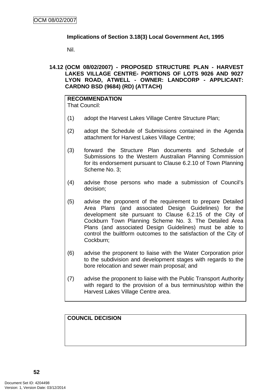# **Implications of Section 3.18(3) Local Government Act, 1995**

Nil.

**14.12 (OCM 08/02/2007) - PROPOSED STRUCTURE PLAN - HARVEST LAKES VILLAGE CENTRE- PORTIONS OF LOTS 9026 AND 9027 LYON ROAD, ATWELL - OWNER: LANDCORP - APPLICANT: CARDNO BSD (9684) (RD) (ATTACH)** 

#### **RECOMMENDATION** That Council:

- (1) adopt the Harvest Lakes Village Centre Structure Plan;
- (2) adopt the Schedule of Submissions contained in the Agenda attachment for Harvest Lakes Village Centre;
- (3) forward the Structure Plan documents and Schedule of Submissions to the Western Australian Planning Commission for its endorsement pursuant to Clause 6.2.10 of Town Planning Scheme No. 3;
- (4) advise those persons who made a submission of Council's decision;
- (5) advise the proponent of the requirement to prepare Detailed Area Plans (and associated Design Guidelines) for the development site pursuant to Clause 6.2.15 of the City of Cockburn Town Planning Scheme No. 3. The Detailed Area Plans (and associated Design Guidelines) must be able to control the builtform outcomes to the satisfaction of the City of Cockburn;
- (6) advise the proponent to liaise with the Water Corporation prior to the subdivision and development stages with regards to the bore relocation and sewer main proposal; and
- (7) advise the proponent to liaise with the Public Transport Authority with regard to the provision of a bus terminus/stop within the Harvest Lakes Village Centre area.

**COUNCIL DECISION**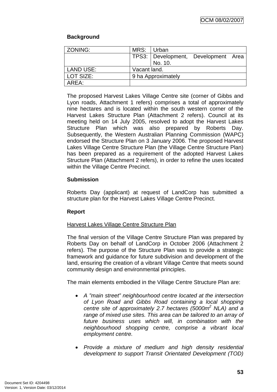# **Background**

| ZONING:          | MRS: Urban         |                                     |  |
|------------------|--------------------|-------------------------------------|--|
|                  |                    |                                     |  |
|                  |                    | TPS3: Development, Development Area |  |
|                  |                    | No. 10.                             |  |
| <b>LAND USE:</b> | Vacant land.       |                                     |  |
| LOT SIZE:        | 9 ha Approximately |                                     |  |
| AREA:            |                    |                                     |  |

The proposed Harvest Lakes Village Centre site (corner of Gibbs and Lyon roads, Attachment 1 refers) comprises a total of approximately nine hectares and is located within the south western corner of the Harvest Lakes Structure Plan (Attachment 2 refers). Council at its meeting held on 14 July 2005, resolved to adopt the Harvest Lakes Structure Plan which was also prepared by Roberts Day. Subsequently, the Western Australian Planning Commission (WAPC) endorsed the Structure Plan on 3 January 2006. The proposed Harvest Lakes Village Centre Structure Plan (the Village Centre Structure Plan) has been prepared as a requirement of the adopted Harvest Lakes Structure Plan (Attachment 2 refers), in order to refine the uses located within the Village Centre Precinct.

# **Submission**

Roberts Day (applicant) at request of LandCorp has submitted a structure plan for the Harvest Lakes Village Centre Precinct.

# **Report**

# Harvest Lakes Village Centre Structure Plan

The final version of the Village Centre Structure Plan was prepared by Roberts Day on behalf of LandCorp in October 2006 (Attachment 2 refers). The purpose of the Structure Plan was to provide a strategic framework and guidance for future subdivision and development of the land, ensuring the creation of a vibrant Village Centre that meets sound community design and environmental principles.

The main elements embodied in the Village Centre Structure Plan are:

- *A "main street" neighbourhood centre located at the intersection of Lyon Road and Gibbs Road containing a local shopping centre site of approximately 2.7 hectares (5000m2 NLA) and a range of mixed use sites. This area can be tailored to an array of future business uses which will, in combination with the neighbourhood shopping centre, comprise a vibrant local employment centre.*
- *Provide a mixture of medium and high density residential development to support Transit Orientated Development (TOD)*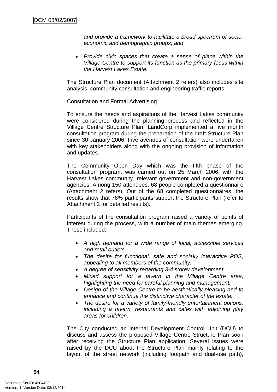*and provide a framework to facilitate a broad spectrum of socioeconomic and demographic groups; and* 

• *Provide civic spaces that create a sense of place within the Village Centre to support its function as the primary focus within the Harvest Lakes Estate.*

The Structure Plan document (Attachment 2 refers) also includes site analysis, community consultation and engineering traffic reports.

#### Consultation and Formal Advertising

To ensure the needs and aspirations of the Harvest Lakes community were considered during the planning process and reflected in the Village Centre Structure Plan, LandCorp implemented a five month consultation program during the preparation of the draft Structure Plan since 30 January 2006. Five avenues of consultation were undertaken with key stakeholders along with the ongoing provision of information and updates.

The Community Open Day which was the fifth phase of the consultation program, was carried out on 25 March 2006, with the Harvest Lakes community, relevant government and non-government agencies. Among 150 attendees, 68 people completed a questionnaire (Attachment 2 refers). Out of the 68 completed questionnaires, the results show that 78% participants support the Structure Plan (refer to Attachment 2 for detailed results).

Participants of the consultation program raised a variety of points of interest during the process, with a number of main themes emerging. These included:

- *A high demand for a wide range of local, accessible services and retail outlets.*
- *The desire for functional, safe and socially interactive POS, appealing to all members of the community.*
- *A degree of sensitivity regarding 3-4 storey development.*
- *Mixed support for a tavern in the Village Centre area, highlighting the need for careful planning and management.*
- *Design of the Village Centre to be aesthetically pleasing and to enhance and continue the distinctive character of the estate.*
- *The desire for a variety of family-friendly entertainment options, including a tavern, restaurants and cafes with adjoining play areas for children.*

The City conducted an internal Development Control Unit (DCU) to discuss and assess the proposed Village Centre Structure Plan soon after receiving the Structure Plan application. Several issues were raised by the DCU about the Structure Plan mainly relating to the layout of the street network (including footpath and dual-use path),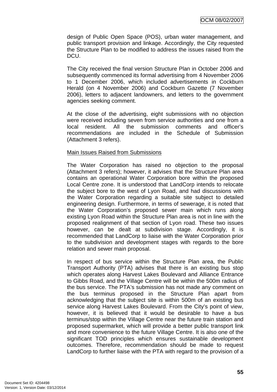design of Public Open Space (POS), urban water management, and public transport provision and linkage. Accordingly, the City requested the Structure Plan to be modified to address the issues raised from the DCU.

The City received the final version Structure Plan in October 2006 and subsequently commenced its formal advertising from 4 November 2006 to 1 December 2006, which included advertisements in Cockburn Herald (on 4 November 2006) and Cockburn Gazette (7 November 2006), letters to adjacent landowners, and letters to the government agencies seeking comment.

At the close of the advertising, eight submissions with no objection were received including seven from service authorities and one from a local resident. All the submission comments and officer's recommendations are included in the Schedule of Submission (Attachment 3 refers).

#### Main Issues Raised from Submissions

The Water Corporation has raised no objection to the proposal (Attachment 3 refers); however, it advises that the Structure Plan area contains an operational Water Corporation bore within the proposed Local Centre zone. It is understood that LandCorp intends to relocate the subject bore to the west of Lyon Road, and had discussions with the Water Corporation regarding a suitable site subject to detailed engineering design. Furthermore, in terms of sewerage, it is noted that the Water Corporation's proposed sewer main which runs along existing Lyon Road within the Structure Plan area is not in line with the proposed realignment of that section of Lyon road. These two issues however, can be dealt at subdivision stage. Accordingly, it is recommended that LandCorp to liaise with the Water Corporation prior to the subdivision and development stages with regards to the bore relation and sewer main proposal.

In respect of bus service within the Structure Plan area, the Public Transport Authority (PTA) advises that there is an existing bus stop which operates along Harvest Lakes Boulevard and Alliance Entrance to Gibbs Road, and the Village Centre will be within the 500m radius of the bus service. The PTA's submission has not made any comment on the bus terminus proposed in the Structure Plan apart from acknowledging that the subject site is within 500m of an existing bus service along Harvest Lakes Boulevard. From the City's point of view, however, it is believed that it would be desirable to have a bus terminus/stop within the Village Centre near the future train station and proposed supermarket, which will provide a better public transport link and more convenience to the future Village Centre. It is also one of the significant TOD principles which ensures sustainable development outcomes. Therefore, recommendation should be made to request LandCorp to further liaise with the PTA with regard to the provision of a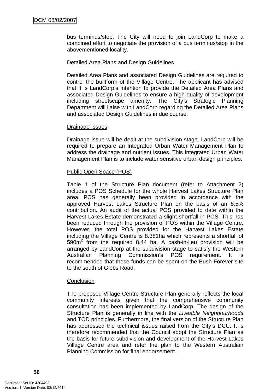bus terminus/stop. The City will need to join LandCorp to make a combined effort to negotiate the provision of a bus terminus/stop in the abovementioned locality.

# Detailed Area Plans and Design Guidelines

Detailed Area Plans and associated Design Guidelines are required to control the builtform of the Village Centre. The applicant has advised that it is LandCorp's intention to provide the Detailed Area Plans and associated Design Guidelines to ensure a high quality of development including streetscape amenity. The City's Strategic Planning Department will liaise with LandCorp regarding the Detailed Area Plans and associated Design Guidelines in due course.

#### Drainage Issues

Drainage issue will be dealt at the subdivision stage. LandCorp will be required to prepare an Integrated Urban Water Management Plan to address the drainage and nutrient issues. This Integrated Urban Water Management Plan is to include water sensitive urban design principles.

# Public Open Space (POS)

Table 1 of the Structure Plan document (refer to Attachment 2) includes a POS Schedule for the whole Harvest Lakes Structure Plan area. POS has generally been provided in accordance with the approved Harvest Lakes Structure Plan on the basis of an 8.5% contribution. An audit of the actual POS provided to date within the Harvest Lakes Estate demonstrated a slight shortfall in POS. This has been reduced through the provision of POS within the Village Centre. However, the total POS provided for the Harvest Lakes Estate including the Village Centre is 8.381ha which represents a shortfall of 590m<sup>2</sup> from the required 8.44 ha. A cash-in-lieu provision will be arranged by LandCorp at the subdivision stage to satisfy the Western Australian Planning Commission's POS requirement. It is recommended that these funds can be spent on the Bush Forever site to the south of Gibbs Road.

#### **Conclusion**

The proposed Village Centre Structure Plan generally reflects the local community interests given that the comprehensive community consultation has been implemented by LandCorp. The design of the Structure Plan is generally in line with the *Liveable Neighbourhoods*  and TOD principles. Furthermore, the final version of the Structure Plan has addressed the technical issues raised from the City's DCU. It is therefore recommended that the Council adopt the Structure Plan as the basis for future subdivision and development of the Harvest Lakes Village Centre area and refer the plan to the Western Australian Planning Commission for final endorsement.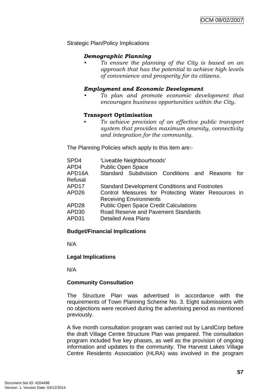Strategic Plan/Policy Implications

# *Demographic Planning*

*• To ensure the planning of the City is based on an approach that has the potential to achieve high levels of convenience and prosperity for its citizens.* 

#### *Employment and Economic Development*

*• To plan and promote economic development that encourages business opportunities within the City.* 

#### **Transport Optimisation**

• *To achieve provision of an effective public transport system that provides maximum amenity, connectivity and integration for the community.*

The Planning Policies which apply to this item are:-

| SPD4<br>APD4 | 'Liveable Neighbourhoods'<br><b>Public Open Space</b> |
|--------------|-------------------------------------------------------|
|              |                                                       |
| APD16A       | Standard Subdivision Conditions and Reasons<br>for    |
| Refusal      |                                                       |
| APD17        | <b>Standard Development Conditions and Footnotes</b>  |
| APD26        | Control Measures for Protecting Water Resources in    |
|              | <b>Receiving Environments</b>                         |
| APD28        | <b>Public Open Space Credit Calculations</b>          |
| APD30        | <b>Road Reserve and Pavement Standards</b>            |
| APD31        | <b>Detailed Area Plans</b>                            |
|              |                                                       |

# **Budget/Financial Implications**

N/A

# **Legal Implications**

N/A

# **Community Consultation**

The Structure Plan was advertised in accordance with the requirements of Town Planning Scheme No. 3. Eight submissions with no objections were received during the advertising period as mentioned previously.

A five month consultation program was carried out by LandCorp before the draft Village Centre Structure Plan was prepared. The consultation program included five key phases, as well as the provision of ongoing information and updates to the community. The Harvest Lakes Village Centre Residents Association (HLRA) was involved in the program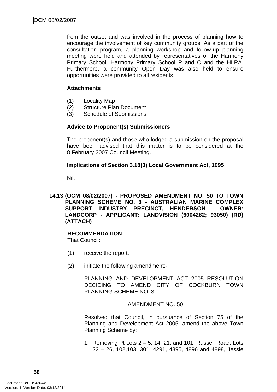from the outset and was involved in the process of planning how to encourage the involvement of key community groups. As a part of the consultation program, a planning workshop and follow-up planning meeting were held and attended by representatives of the Harmony Primary School, Harmony Primary School P and C and the HLRA. Furthermore, a community Open Day was also held to ensure opportunities were provided to all residents.

# **Attachments**

- (1) Locality Map
- (2) Structure Plan Document
- (3) Schedule of Submissions

# **Advice to Proponent(s) Submissioners**

The proponent(s) and those who lodged a submission on the proposal have been advised that this matter is to be considered at the 8 February 2007 Council Meeting.

# **Implications of Section 3.18(3) Local Government Act, 1995**

Nil.

# **14.13 (OCM 08/02/2007) - PROPOSED AMENDMENT NO. 50 TO TOWN PLANNING SCHEME NO. 3 - AUSTRALIAN MARINE COMPLEX SUPPORT INDUSTRY PRECINCT, HENDERSON - OWNER: LANDCORP - APPLICANT: LANDVISION (6004282; 93050) (RD) (ATTACH)**

# **RECOMMENDATION**

That Council:

- (1) receive the report;
- (2) initiate the following amendment:-

 PLANNING AND DEVELOPMENT ACT 2005 RESOLUTION DECIDING TO AMEND CITY OF COCKBURN TOWN PLANNING SCHEME NO. 3

AMENDMENT NO. 50

Resolved that Council, in pursuance of Section 75 of the Planning and Development Act 2005, amend the above Town Planning Scheme by:

1. Removing Pt Lots 2 – 5, 14, 21, and 101, Russell Road, Lots 22 – 26, 102,103, 301, 4291, 4895, 4896 and 4898, Jessie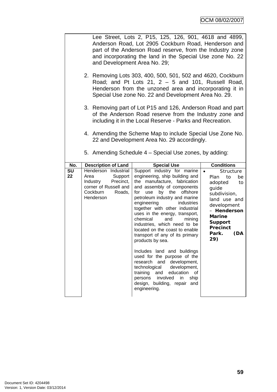|                                | Lee Street, Lots 2, P15, 125, 126, 901, 4618 and 4899,<br>Anderson Road, Lot 2905 Cockburn Road, Henderson and<br>part of the Anderson Road reserve, from the Industry zone<br>and incorporating the land in the Special Use zone No. 22<br>and Development Area No. 29; |                                                                                                                                                                                                                                                                                                                                                                                                                                                      |                                                                                                                                                                                                                 |  |  |
|--------------------------------|--------------------------------------------------------------------------------------------------------------------------------------------------------------------------------------------------------------------------------------------------------------------------|------------------------------------------------------------------------------------------------------------------------------------------------------------------------------------------------------------------------------------------------------------------------------------------------------------------------------------------------------------------------------------------------------------------------------------------------------|-----------------------------------------------------------------------------------------------------------------------------------------------------------------------------------------------------------------|--|--|
|                                | 2. Removing Lots 303, 400, 500, 501, 502 and 4620, Cockburn<br>Road; and Pt Lots 21, $2 - 5$ and 101, Russell Road,<br>Henderson from the unzoned area and incorporating it in<br>Special Use zone No. 22 and Development Area No. 29.                                   |                                                                                                                                                                                                                                                                                                                                                                                                                                                      |                                                                                                                                                                                                                 |  |  |
|                                | 3. Removing part of Lot P15 and 126, Anderson Road and part<br>of the Anderson Road reserve from the Industry zone and<br>including it in the Local Reserve - Parks and Recreation.                                                                                      |                                                                                                                                                                                                                                                                                                                                                                                                                                                      |                                                                                                                                                                                                                 |  |  |
|                                |                                                                                                                                                                                                                                                                          | 4. Amending the Scheme Map to include Special Use Zone No.<br>22 and Development Area No. 29 accordingly.                                                                                                                                                                                                                                                                                                                                            |                                                                                                                                                                                                                 |  |  |
|                                |                                                                                                                                                                                                                                                                          | 5. Amending Schedule 4 – Special Use zones, by adding:                                                                                                                                                                                                                                                                                                                                                                                               |                                                                                                                                                                                                                 |  |  |
| No.                            | <b>Description of Land</b>                                                                                                                                                                                                                                               | <b>Special Use</b>                                                                                                                                                                                                                                                                                                                                                                                                                                   | <b>Conditions</b>                                                                                                                                                                                               |  |  |
| $\overline{\mathsf{SU}}$<br>22 | Henderson Industrial<br>Support<br>Area<br>Industry<br>Precinct,<br>corner of Russell and<br>Cockburn<br>Roads,<br>Henderson                                                                                                                                             | Support industry for marine<br>engineering, ship building and<br>the manufacture, fabrication<br>and assembly of components<br>by the offshore<br>use<br>for<br>petroleum industry and marine<br>engineering<br>industries<br>together with other industrial<br>uses in the energy, transport,<br>chemical<br>and<br>mining<br>industries, which need to be<br>located on the coast to enable<br>transport of any of its primary<br>products by sea. | Structure<br>$\bullet$<br>Plan<br>to<br>be<br>adopted<br>to<br>guide<br>subdivision,<br>land use and<br>development<br>- Henderson<br><b>Marine</b><br><b>Support</b><br><b>Precinct</b><br>Park.<br>(DA<br>29) |  |  |
|                                |                                                                                                                                                                                                                                                                          | Includes land and buildings<br>used for the purpose of the<br>research<br>and development,<br>technological development,<br>training and<br>education<br>οf<br>persons involved in<br>ship<br>design, building, repair and<br>engineering.                                                                                                                                                                                                           |                                                                                                                                                                                                                 |  |  |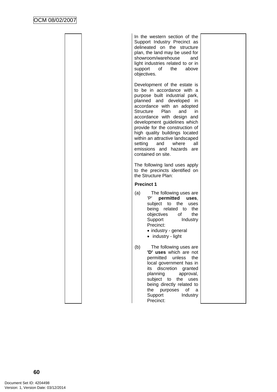| In the western section of the<br>Support Industry Precinct as<br>delineated on the structure<br>plan, the land may be used for<br>showroom/warehouse<br>and<br>light industries related to or in<br>support of<br>the<br>above<br>objectives.                                                                                                                                                                                                           |  |
|---------------------------------------------------------------------------------------------------------------------------------------------------------------------------------------------------------------------------------------------------------------------------------------------------------------------------------------------------------------------------------------------------------------------------------------------------------|--|
| Development of the estate is<br>to be in accordance with a<br>purpose built industrial park,<br>planned and developed<br>in<br>accordance with an adopted<br>Plan<br>Structure<br>and<br>in.<br>accordance with design and<br>development guidelines which<br>provide for the construction of<br>high quality buildings located<br>within an attractive landscaped<br>setting<br>where<br>all<br>and<br>emissions and hazards are<br>contained on site. |  |
| The following land uses apply<br>to the precincts identified on<br>the Structure Plan:                                                                                                                                                                                                                                                                                                                                                                  |  |
| <b>Precinct 1</b>                                                                                                                                                                                                                                                                                                                                                                                                                                       |  |
| (a)<br>The following uses are<br>'P'<br>permitted<br>uses.<br>subject<br>to<br>the<br>uses<br>being related to<br>the<br>objectives<br>οf<br>the<br>Support<br>Industry<br>Precinct:<br>• industry - general<br>• industry - light                                                                                                                                                                                                                      |  |
| The following uses are<br>(b)<br>'D' uses which are not<br>permitted<br>unless<br>the<br>local government has in<br>its<br>discretion<br>granted<br>planning<br>approval,<br>subject to<br>the<br>uses<br>being directly related to<br>the<br>0f<br>purposes<br>a<br>Industry<br>Support<br>Precinct:                                                                                                                                                   |  |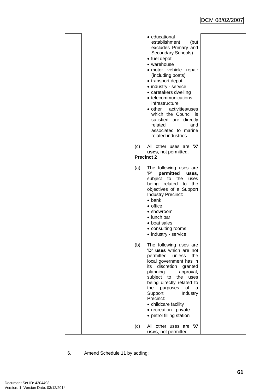| • educational<br>establishment<br>(but<br>excludes Primary and<br>Secondary Schools)<br>• fuel depot<br>• warehouse<br>· motor vehicle repair<br>(including boats)<br>• transport depot<br>• industry - service<br>• caretakers dwelling<br>• telecommunications<br>infrastructure<br>• other activities/uses<br>which the Council is<br>satisfied are directly<br>related<br>and<br>associated to marine<br>related industries |
|---------------------------------------------------------------------------------------------------------------------------------------------------------------------------------------------------------------------------------------------------------------------------------------------------------------------------------------------------------------------------------------------------------------------------------|
| All other uses are 'X'<br>(c)<br>uses, not permitted.<br><b>Precinct 2</b>                                                                                                                                                                                                                                                                                                                                                      |
| The following uses are<br>(a)<br>'P'<br>permitted<br>uses.<br>subject<br>to the<br>uses<br>being related to<br>the<br>objectives of a Support<br>Industry Precinct:<br>$\bullet$ bank<br>• office<br>• showroom<br>• lunch bar<br>• boat sales<br>• consulting rooms<br>• industry - service                                                                                                                                    |
| (b)<br>The following uses are<br>'D' uses which are not<br>permitted<br>unless<br>the<br>local government has in<br>discretion<br>its<br>granted<br>planning<br>approval,<br>subject to<br>the uses<br>being directly related to<br>the purposes<br>of<br>a<br>Support<br>Industry<br>Precinct:<br>• childcare facility<br>• recreation - private<br>• petrol filling station                                                   |
| All other uses are 'X'<br>(c)<br>uses, not permitted.                                                                                                                                                                                                                                                                                                                                                                           |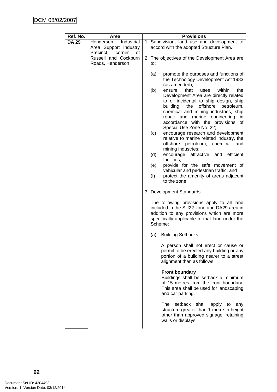| Ref. No.     | Area                                                                  | <b>Provisions</b>                                                                                                                                                                                                                                                                     |
|--------------|-----------------------------------------------------------------------|---------------------------------------------------------------------------------------------------------------------------------------------------------------------------------------------------------------------------------------------------------------------------------------|
| <b>DA 29</b> | Industrial<br>Henderson<br>Area Support Industry                      | 1. Subdivision, land use and development to<br>accord with the adopted Structure Plan.                                                                                                                                                                                                |
|              | Precinct,<br>corner<br>οf<br>Russell and Cockburn<br>Roads, Henderson | 2. The objectives of the Development Area are<br>to:                                                                                                                                                                                                                                  |
|              |                                                                       | promote the purposes and functions of<br>(a)<br>the Technology Development Act 1983<br>(as amended);<br>(b)<br>that<br>within<br>the<br>ensure<br>uses                                                                                                                                |
|              |                                                                       | Development Area are directly related<br>to or incidental to ship design, ship<br>building,<br>the<br>offshore<br>petroleum,<br>chemical and mining industries, ship<br>repair and<br>marine<br>engineering<br>in<br>accordance with the provisions<br>οf<br>Special Use Zone No. 22; |
|              |                                                                       | (c)<br>encourage research and development<br>relative to marine related industry, the<br>offshore petroleum, chemical<br>and<br>mining industries;                                                                                                                                    |
|              |                                                                       | (d)<br>encourage<br>attractive and<br>efficient<br>facilities:                                                                                                                                                                                                                        |
|              |                                                                       | provide for the safe movement of<br>(e)                                                                                                                                                                                                                                               |
|              |                                                                       | vehicular and pedestrian traffic; and<br>(f)<br>protect the amenity of areas adjacent<br>to the zone.                                                                                                                                                                                 |
|              |                                                                       | 3. Development Standards                                                                                                                                                                                                                                                              |
|              |                                                                       | The following provisions apply to all land<br>included in the SU22 zone and DA29 area in<br>addition to any provisions which are more<br>specifically applicable to that land under the<br>Scheme:                                                                                    |
|              |                                                                       | <b>Building Setbacks</b><br>(a)                                                                                                                                                                                                                                                       |
|              |                                                                       | A person shall not erect or cause or<br>permit to be erected any building or any<br>portion of a building nearer to a street<br>alignment than as follows;                                                                                                                            |
|              |                                                                       | <b>Front boundary</b><br>Buildings shall be setback a minimum<br>of 15 metres from the front boundary.<br>This area shall be used for landscaping<br>and car parking.                                                                                                                 |
|              |                                                                       | The<br>setback<br>shall<br>apply<br>any<br>to<br>structure greater than 1 metre in height<br>other than approved signage, retaining<br>walls or displays.                                                                                                                             |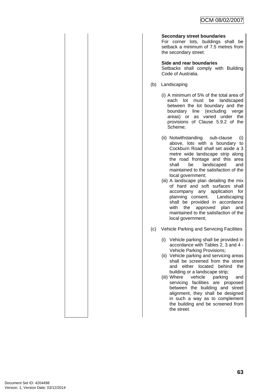#### **Secondary street boundaries**

For corner lots, buildings shall be setback a minimum of 7.5 metres from the secondary street.

#### **Side and rear boundaries**

Setbacks shall comply with Building Code of Australia.

- (b) Landscaping
	- (i) A minimum of 5% of the total area of each lot must be landscaped between the lot boundary and the boundary line (excluding verge areas) or as varied under the provisions of Clause 5.9.2 of the Scheme;
	- (ii) Notwithstanding sub-clause (i) above, lots with a boundary to Cockburn Road shall set aside a 3 metre wide landscape strip along the road frontage and this area shall be landscaped and maintained to the satisfaction of the local government;
	- (iii) A landscape plan detailing the mix of hard and soft surfaces shall accompany any application for planning consent. Landscaping shall be provided in accordance with the approved plan and maintained to the satisfaction of the local government;
- (c) Vehicle Parking and Servicing Facilities
	- (i) Vehicle parking shall be provided in accordance with Tables 2, 3 and 4 - Vehicle Parking Provisions;
	- (ii) Vehicle parking and servicing areas shall be screened from the street and either located behind the building or a landscape strip;
	- (iii) Where vehicle parking and servicing facilities are proposed between the building and street alignment, they shall be designed in such a way as to complement the building and be screened from the street.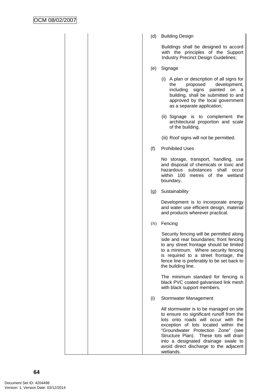| (d) | <b>Building Design</b>                                                                                                                                                                                                                                                                                                                                 |
|-----|--------------------------------------------------------------------------------------------------------------------------------------------------------------------------------------------------------------------------------------------------------------------------------------------------------------------------------------------------------|
|     | Buildings shall be designed to accord<br>with the principles of the Support<br>Industry Precinct Design Guidelines;                                                                                                                                                                                                                                    |
| (e) | Signage                                                                                                                                                                                                                                                                                                                                                |
|     | (i) A plan or description of all signs for<br>development,<br>the<br>proposed<br>including<br>signs<br>painted<br>on<br>a<br>building, shall be submitted to and<br>approved by the local government<br>as a separate application;                                                                                                                     |
|     | (ii) Signage is to complement the<br>architectural proportion and scale<br>of the building.                                                                                                                                                                                                                                                            |
|     | (iii) Roof signs will not be permitted.                                                                                                                                                                                                                                                                                                                |
| (f) | <b>Prohibited Uses</b>                                                                                                                                                                                                                                                                                                                                 |
|     | No storage, transport, handling, use<br>and disposal of chemicals or toxic and<br>hazardous<br>shall<br>substances<br>occur<br>within 100<br>metres of the wetland<br>boundary.                                                                                                                                                                        |
| (g) | Sustainability                                                                                                                                                                                                                                                                                                                                         |
|     | Development is to incorporate energy<br>and water use efficient design, material<br>and products wherever practical.                                                                                                                                                                                                                                   |
| (h) | Fencing                                                                                                                                                                                                                                                                                                                                                |
|     | Security fencing will be permitted along<br>side and rear boundaries; front fencing<br>to any street frontage should be limited<br>to a minimum. Where security fencing<br>is required to a street frontage, the<br>fence line is preferably to be set back to<br>the building line.                                                                   |
|     | The minimum standard for fencing is<br>black PVC coated galvanised link mesh<br>with black support members.                                                                                                                                                                                                                                            |
| (i) | Stormwater Management                                                                                                                                                                                                                                                                                                                                  |
|     | All stormwater is to be managed on site<br>to ensure no significant runoff from the<br>lots onto roads will occur with<br>the<br>exception of lots located within<br>the<br>"Groundwater Protection Zone" (see<br>Structure Plan). These lots will drain<br>into a designated drainage swale to<br>avoid direct discharge to the adjacent<br>wetlands. |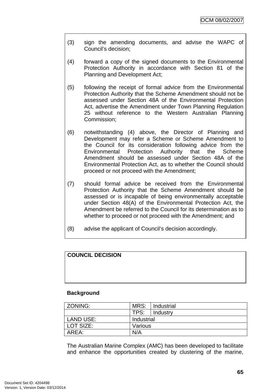- (3) sign the amending documents, and advise the WAPC of Council's decision;
- (4) forward a copy of the signed documents to the Environmental Protection Authority in accordance with Section 81 of the Planning and Development Act;
- (5) following the receipt of formal advice from the Environmental Protection Authority that the Scheme Amendment should not be assessed under Section 48A of the Environmental Protection Act, advertise the Amendment under Town Planning Regulation 25 without reference to the Western Australian Planning Commission;
- (6) notwithstanding (4) above, the Director of Planning and Development may refer a Scheme or Scheme Amendment to the Council for its consideration following advice from the Environmental Protection Authority that the Scheme Amendment should be assessed under Section 48A of the Environmental Protection Act, as to whether the Council should proceed or not proceed with the Amendment;
- (7) should formal advice be received from the Environmental Protection Authority that the Scheme Amendment should be assessed or is incapable of being environmentally acceptable under Section 48(A) of the Environmental Protection Act, the Amendment be referred to the Council for its determination as to whether to proceed or not proceed with the Amendment; and
- (8) advise the applicant of Council's decision accordingly.

# **COUNCIL DECISION**

#### **Background**

| <b>ZONING:</b>   | MRS:       | Industrial |
|------------------|------------|------------|
|                  | TPS:       | Industry   |
| <b>LAND USE:</b> | Industrial |            |
| LOT SIZE:        | Various    |            |
| AREA:            | N/A        |            |

The Australian Marine Complex (AMC) has been developed to facilitate and enhance the opportunities created by clustering of the marine,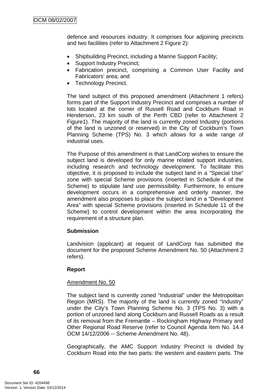defence and resources industry. It comprises four adjoining precincts and two facilities (refer to Attachment 2 Figure 2):

- Shipbuilding Precinct, including a Marine Support Facility;
- Support Industry Precinct;
- Fabrication precinct, comprising a Common User Facility and Fabricators' area; and
- Technology Precinct.

The land subject of this proposed amendment (Attachment 1 refers) forms part of the Support Industry Precinct and comprises a number of lots located at the corner of Russell Road and Cockburn Road in Henderson, 23 km south of the Perth CBD (refer to Attachment 2 Figure1). The majority of the land is currently zoned Industry (portions of the land is unzoned or reserved) in the City of Cockburn's Town Planning Scheme (TPS) No. 3 which allows for a wide range of industrial uses.

The Purpose of this amendment is that LandCorp wishes to ensure the subject land is developed for only marine related support industries, including research and technology development. To facilitate this objective, it is proposed to include the subject land in a "Special Use" zone with special Scheme provisions (inserted in Schedule 4 of the Scheme) to stipulate land use permissibility. Furthermore, to ensure development occurs in a comprehensive and orderly manner, the amendment also proposes to place the subject land in a "Development Area" with special Scheme provisions (inserted in Schedule 11 of the Scheme) to control development within the area incorporating the requirement of a structure plan.

# **Submission**

Landvision (applicant) at request of LandCorp has submitted the document for the proposed Scheme Amendment No. 50 (Attachment 2 refers).

# **Report**

# Amendment No. 50

The subject land is currently zoned "Industrial" under the Metropolitan Region (MRS). The majority of the land is currently zoned "Industry" under the City's Town Planning Scheme No. 3 (TPS No. 3) with a portion of unzoned land along Cockburn and Russell Roads as a result of its removal from the Fremantle – Rockingham Highway Primary and Other Regional Road Reserve (refer to Council Agenda Item No. 14.4 OCM 14/12/2006 -- Scheme Amendment No. 48).

Geographically, the AMC Support Industry Precinct is divided by Cockburn Road into the two parts: the western and eastern parts. The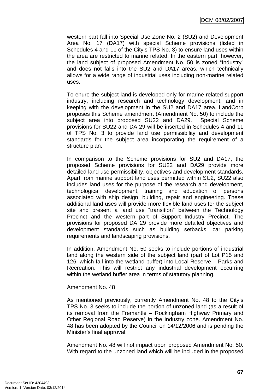western part fall into Special Use Zone No. 2 (SU2) and Development Area No. 17 (DA17) with special Scheme provisions (listed in Schedules 4 and 11 of the City's TPS No. 3) to ensure land uses within the area are restricted to marine related. In the eastern part, however, the land subject of proposed Amendment No. 50 is zoned "Industry" and does not falls into the SU2 and DA17 areas, which technically allows for a wide range of industrial uses including non-marine related uses.

To enure the subject land is developed only for marine related support industry, including research and technology development, and in keeping with the development in the SU2 and DA17 area, LandCorp proposes this Scheme amendment (Amendment No. 50) to include the subject area into proposed SU22 and DA29. Special Scheme provisions for SU22 and DA 29 will be inserted in Schedules 4 and 11 of TPS No. 3 to provide land use permissibility and development standards for the subject area incorporating the requirement of a structure plan.

In comparison to the Scheme provisions for SU2 and DA17, the proposed Scheme provisions for SU22 and DA29 provide more detailed land use permissibility, objectives and development standards. Apart from marine support land uses permitted within SU2, SU22 also includes land uses for the purpose of the research and development, technological development, training and education of persons associated with ship design, building, repair and engineering. These additional land uses will provide more flexible land uses for the subject site and present a land use "transition" between the Technology Precinct and the western part of Support Industry Precinct. The provisions for proposed DA 29 provide more detailed objectives and development standards such as building setbacks, car parking requirements and landscaping provisions.

In addition, Amendment No. 50 seeks to include portions of industrial land along the western side of the subject land (part of Lot P15 and 126, which fall into the wetland buffer) into Local Reserve – Parks and Recreation. This will restrict any industrial development occurring within the wetland buffer area in terms of statutory planning.

#### Amendment No. 48

As mentioned previously, currently Amendment No. 48 to the City's TPS No. 3 seeks to include the portion of unzoned land (as a result of its removal from the Fremantle – Rockingham Highway Primary and Other Regional Road Reserve) in the Industry zone. Amendment No. 48 has been adopted by the Council on 14/12/2006 and is pending the Minister's final approval.

Amendment No. 48 will not impact upon proposed Amendment No. 50. With regard to the unzoned land which will be included in the proposed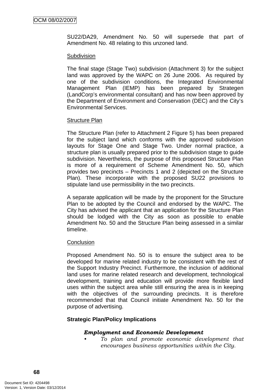SU22/DA29, Amendment No. 50 will supersede that part of Amendment No. 48 relating to this unzoned land.

#### **Subdivision**

The final stage (Stage Two) subdivision (Attachment 3) for the subject land was approved by the WAPC on 26 June 2006. As required by one of the subdivision conditions, the Integrated Environmental Management Plan (IEMP) has been prepared by Strategen (LandCorp's environmental consultant) and has now been approved by the Department of Environment and Conservation (DEC) and the City's Environmental Services.

# Structure Plan

The Structure Plan (refer to Attachment 2 Figure 5) has been prepared for the subject land which conforms with the approved subdivision layouts for Stage One and Stage Two. Under normal practice, a structure plan is usually prepared prior to the subdivision stage to guide subdivision. Nevertheless, the purpose of this proposed Structure Plan is more of a requirement of Scheme Amendment No. 50, which provides two precincts – Precincts 1 and 2 (depicted on the Structure Plan). These incorporate with the proposed SU22 provisions to stipulate land use permissibility in the two precincts.

A separate application will be made by the proponent for the Structure Plan to be adopted by the Council and endorsed by the WAPC. The City has advised the applicant that an application for the Structure Plan should be lodged with the City as soon as possible to enable Amendment No. 50 and the Structure Plan being assessed in a similar timeline.

# **Conclusion**

Proposed Amendment No. 50 is to ensure the subject area to be developed for marine related industry to be consistent with the rest of the Support Industry Precinct. Furthermore, the inclusion of additional land uses for marine related research and development, technological development, training and education will provide more flexible land uses within the subject area while still ensuring the area is in keeping with the objectives of the surrounding precincts. It is therefore recommended that that Council initiate Amendment No. 50 for the purpose of advertising.

# **Strategic Plan/Policy Implications**

# *Employment and Economic Development*

*• To plan and promote economic development that encourages business opportunities within the City.*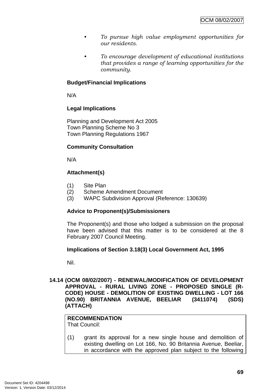- *To pursue high value employment opportunities for our residents.*
- *To encourage development of educational institutions that provides a range of learning opportunities for the community.*

## **Budget/Financial Implications**

N/A

## **Legal Implications**

Planning and Development Act 2005 Town Planning Scheme No 3 Town Planning Regulations 1967

## **Community Consultation**

N/A

## **Attachment(s)**

- (1) Site Plan
- (2) Scheme Amendment Document
- (3) WAPC Subdivision Approval (Reference: 130639)

## **Advice to Proponent(s)/Submissioners**

The Proponent(s) and those who lodged a submission on the proposal have been advised that this matter is to be considered at the 8 February 2007 Council Meeting.

#### **Implications of Section 3.18(3) Local Government Act, 1995**

Nil.

#### **14.14 (OCM 08/02/2007) - RENEWAL/MODIFICATION OF DEVELOPMENT APPROVAL - RURAL LIVING ZONE - PROPOSED SINGLE (R-CODE) HOUSE - DEMOLITION OF EXISTING DWELLING - LOT 166 (NO.90) BRITANNIA AVENUE, BEELIAR (3411074) (SDS) (ATTACH)**

## **RECOMMENDATION**

That Council:

(1) grant its approval for a new single house and demolition of existing dwelling on Lot 166, No. 90 Britannia Avenue, Beeliar, in accordance with the approved plan subject to the following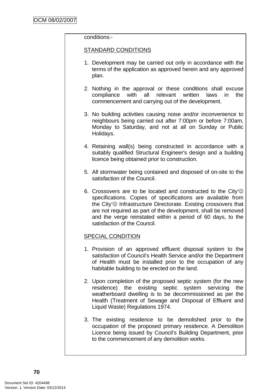#### conditions:-

#### STANDARD CONDITIONS

- 1. Development may be carried out only in accordance with the terms of the application as approved herein and any approved plan.
- 2. Nothing in the approval or these conditions shall excuse compliance with all relevant written laws in the commencement and carrying out of the development.
- 3. No building activities causing noise and/or inconvenience to neighbours being carried out after 7:00pm or before 7:00am, Monday to Saturday, and not at all on Sunday or Public Holidays.
- 4. Retaining wall(s) being constructed in accordance with a suitably qualified Structural Engineer's design and a building licence being obtained prior to construction.
- 5. All stormwater being contained and disposed of on-site to the satisfaction of the Council.
- 6. Crossovers are to be located and constructed to the City' $\odot$ specifications. Copies of specifications are available from the City'☺ Infrastructure Directorate. Existing crossovers that are not required as part of the development, shall be removed and the verge reinstated within a period of 60 days, to the satisfaction of the Council.

## SPECIAL CONDITION

- 1. Provision of an approved effluent disposal system to the satisfaction of Council's Health Service and/or the Department of Health must be installed prior to the occupation of any habitable building to be erected on the land.
- 2. Upon completion of the proposed septic system (for the new residence) the existing septic system servicing the weatherboard dwelling is to be decommissioned as per the Health (Treatment of Sewage and Disposal of Effluent and Liquid Waste) Regulations 1974.
- 3. The existing residence to be demolished prior to the occupation of the proposed primary residence. A Demolition Licence being issued by Council's Building Department, prior to the commencement of any demolition works.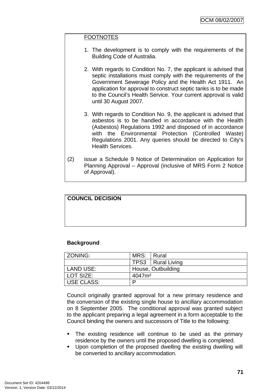#### **FOOTNOTES**

- 1. The development is to comply with the requirements of the Building Code of Australia.
- 2. With regards to Condition No. 7, the applicant is advised that septic installations must comply with the requirements of the Government Sewerage Policy and the Health Act 1911. An application for approval to construct septic tanks is to be made to the Council's Health Service. Your current approval is valid until 30 August 2007.
- 3. With regards to Condition No. 9, the applicant is advised that asbestos is to be handled in accordance with the Health (Asbestos) Regulations 1992 and disposed of in accordance with the Environmental Protection (Controlled Waste) Regulations 2001. Any queries should be directed to City's Health Services.
- (2) issue a Schedule 9 Notice of Determination on Application for Planning Approval – Approval (inclusive of MRS Form 2 Notice of Approval).

## **COUNCIL DECISION**

#### **Background**

| ZONING:    | MRS: Rural         |                     |  |
|------------|--------------------|---------------------|--|
|            |                    | TPS3   Rural Living |  |
| LAND USE:  | House, Outbuilding |                     |  |
| LOT SIZE:  | 4047m <sup>2</sup> |                     |  |
| USE CLASS: | D                  |                     |  |

Council originally granted approval for a new primary residence and the conversion of the existing single house to ancillary accommodation on 8 September 2005. The conditional approval was granted subject to the applicant preparing a legal agreement in a form acceptable to the Council binding the owners and successors of Title to the following:

- The existing residence will continue to be used as the primary residence by the owners until the proposed dwelling is completed.
- **Upon completion of the proposed dwelling the existing dwelling will** be converted to ancillary accommodation.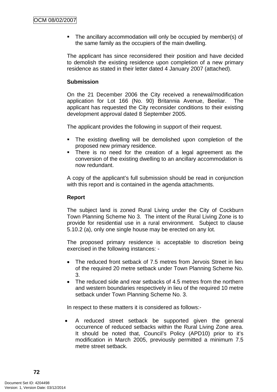The ancillary accommodation will only be occupied by member(s) of the same family as the occupiers of the main dwelling.

The applicant has since reconsidered their position and have decided to demolish the existing residence upon completion of a new primary residence as stated in their letter dated 4 January 2007 (attached).

#### **Submission**

On the 21 December 2006 the City received a renewal/modification application for Lot 166 (No. 90) Britannia Avenue, Beeliar. The applicant has requested the City reconsider conditions to their existing development approval dated 8 September 2005.

The applicant provides the following in support of their request.

- The existing dwelling will be demolished upon completion of the proposed new primary residence.
- There is no need for the creation of a legal agreement as the conversion of the existing dwelling to an ancillary accommodation is now redundant.

A copy of the applicant's full submission should be read in conjunction with this report and is contained in the agenda attachments.

#### **Report**

The subject land is zoned Rural Living under the City of Cockburn Town Planning Scheme No 3. The intent of the Rural Living Zone is to provide for residential use in a rural environment. Subject to clause 5.10.2 (a), only one single house may be erected on any lot.

The proposed primary residence is acceptable to discretion being exercised in the following instances: -

- The reduced front setback of 7.5 metres from Jervois Street in lieu of the required 20 metre setback under Town Planning Scheme No. 3.
- The reduced side and rear setbacks of 4.5 metres from the northern and western boundaries respectively in lieu of the required 10 metre setback under Town Planning Scheme No. 3.

In respect to these matters it is considered as follows:-

A reduced street setback be supported given the general occurrence of reduced setbacks within the Rural Living Zone area. It should be noted that, Council's Policy (APD10) prior to it's modification in March 2005, previously permitted a minimum 7.5 metre street setback.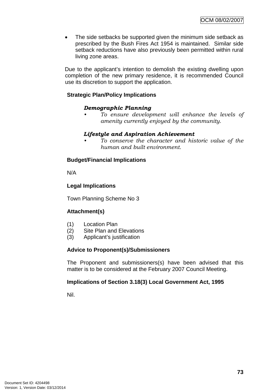• The side setbacks be supported given the minimum side setback as prescribed by the Bush Fires Act 1954 is maintained. Similar side setback reductions have also previously been permitted within rural living zone areas.

Due to the applicant's intention to demolish the existing dwelling upon completion of the new primary residence, it is recommended Council use its discretion to support the application.

## **Strategic Plan/Policy Implications**

#### *Demographic Planning*

*• To ensure development will enhance the levels of amenity currently enjoyed by the community.*

#### *Lifestyle and Aspiration Achievement*

*• To conserve the character and historic value of the human and built environment.* 

#### **Budget/Financial Implications**

N/A

#### **Legal Implications**

Town Planning Scheme No 3

#### **Attachment(s)**

- (1) Location Plan
- (2) Site Plan and Elevations
- (3) Applicant's justification

#### **Advice to Proponent(s)/Submissioners**

The Proponent and submissioners(s) have been advised that this matter is to be considered at the February 2007 Council Meeting.

#### **Implications of Section 3.18(3) Local Government Act, 1995**

Nil.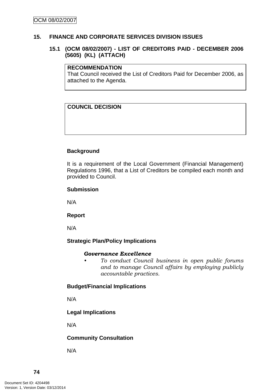#### **15. FINANCE AND CORPORATE SERVICES DIVISION ISSUES**

#### **15.1 (OCM 08/02/2007) - LIST OF CREDITORS PAID - DECEMBER 2006 (5605) (KL) (ATTACH)**

#### **RECOMMENDATION**

That Council received the List of Creditors Paid for December 2006, as attached to the Agenda.

## **COUNCIL DECISION**

#### **Background**

It is a requirement of the Local Government (Financial Management) Regulations 1996, that a List of Creditors be compiled each month and provided to Council.

#### **Submission**

N/A

**Report**

N/A

#### **Strategic Plan/Policy Implications**

#### *Governance Excellence*

*• To conduct Council business in open public forums and to manage Council affairs by employing publicly accountable practices.* 

#### **Budget/Financial Implications**

N/A

## **Legal Implications**

N/A

#### **Community Consultation**

N/A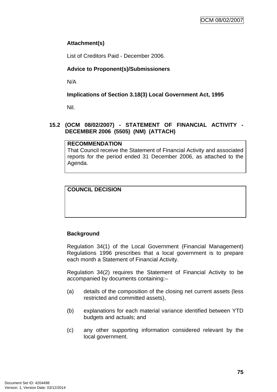## **Attachment(s)**

List of Creditors Paid - December 2006.

## **Advice to Proponent(s)/Submissioners**

N/A

## **Implications of Section 3.18(3) Local Government Act, 1995**

Nil.

#### **15.2 (OCM 08/02/2007) - STATEMENT OF FINANCIAL ACTIVITY - DECEMBER 2006 (5505) (NM) (ATTACH)**

## **RECOMMENDATION**

That Council receive the Statement of Financial Activity and associated reports for the period ended 31 December 2006, as attached to the Agenda.

## **COUNCIL DECISION**

## **Background**

Regulation 34(1) of the Local Government (Financial Management) Regulations 1996 prescribes that a local government is to prepare each month a Statement of Financial Activity.

Regulation 34(2) requires the Statement of Financial Activity to be accompanied by documents containing:–

- (a) details of the composition of the closing net current assets (less restricted and committed assets),
- (b) explanations for each material variance identified between YTD budgets and actuals; and
- (c) any other supporting information considered relevant by the local government.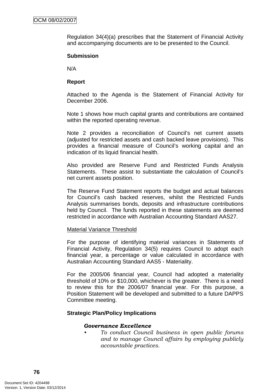Regulation 34(4)(a) prescribes that the Statement of Financial Activity and accompanying documents are to be presented to the Council.

#### **Submission**

N/A

#### **Report**

Attached to the Agenda is the Statement of Financial Activity for December 2006.

Note 1 shows how much capital grants and contributions are contained within the reported operating revenue.

Note 2 provides a reconciliation of Council's net current assets (adjusted for restricted assets and cash backed leave provisions). This provides a financial measure of Council's working capital and an indication of its liquid financial health.

Also provided are Reserve Fund and Restricted Funds Analysis Statements. These assist to substantiate the calculation of Council's net current assets position.

The Reserve Fund Statement reports the budget and actual balances for Council's cash backed reserves, whilst the Restricted Funds Analysis summarises bonds, deposits and infrastructure contributions held by Council. The funds reported in these statements are deemed restricted in accordance with Australian Accounting Standard AAS27.

#### Material Variance Threshold

For the purpose of identifying material variances in Statements of Financial Activity, Regulation 34(5) requires Council to adopt each financial year, a percentage or value calculated in accordance with Australian Accounting Standard AAS5 - Materiality.

For the 2005/06 financial year, Council had adopted a materiality threshold of 10% or \$10,000, whichever is the greater. There is a need to review this for the 2006/07 financial year. For this purpose, a Position Statement will be developed and submitted to a future DAPPS Committee meeting.

#### **Strategic Plan/Policy Implications**

#### *Governance Excellence*

*• To conduct Council business in open public forums and to manage Council affairs by employing publicly accountable practices.*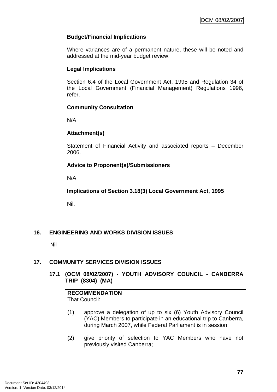## **Budget/Financial Implications**

Where variances are of a permanent nature, these will be noted and addressed at the mid-year budget review.

## **Legal Implications**

Section 6.4 of the Local Government Act, 1995 and Regulation 34 of the Local Government (Financial Management) Regulations 1996, refer.

## **Community Consultation**

N/A

## **Attachment(s)**

Statement of Financial Activity and associated reports – December 2006.

## **Advice to Proponent(s)/Submissioners**

N/A

**Implications of Section 3.18(3) Local Government Act, 1995**

Nil.

## **16. ENGINEERING AND WORKS DIVISION ISSUES**

Nil

## **17. COMMUNITY SERVICES DIVISION ISSUES**

## **17.1 (OCM 08/02/2007) - YOUTH ADVISORY COUNCIL - CANBERRA TRIP (8304) (MA)**

# **RECOMMENDATION**

That Council:

- (1) approve a delegation of up to six (6) Youth Advisory Council (YAC) Members to participate in an educational trip to Canberra, during March 2007, while Federal Parliament is in session;
- (2) give priority of selection to YAC Members who have not previously visited Canberra;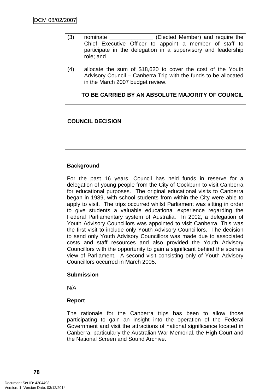- (3) nominate \_\_\_\_\_\_\_\_\_\_\_\_\_\_ (Elected Member) and require the Chief Executive Officer to appoint a member of staff to participate in the delegation in a supervisory and leadership role; and
- (4) allocate the sum of \$18,620 to cover the cost of the Youth Advisory Council – Canberra Trip with the funds to be allocated in the March 2007 budget review.

**TO BE CARRIED BY AN ABSOLUTE MAJORITY OF COUNCIL**

## **COUNCIL DECISION**

#### **Background**

For the past 16 years, Council has held funds in reserve for a delegation of young people from the City of Cockburn to visit Canberra for educational purposes. The original educational visits to Canberra began in 1989, with school students from within the City were able to apply to visit. The trips occurred whilst Parliament was sitting in order to give students a valuable educational experience regarding the Federal Parliamentary system of Australia. In 2002, a delegation of Youth Advisory Councillors was appointed to visit Canberra. This was the first visit to include only Youth Advisory Councillors. The decision to send only Youth Advisory Councillors was made due to associated costs and staff resources and also provided the Youth Advisory Councillors with the opportunity to gain a significant behind the scenes view of Parliament. A second visit consisting only of Youth Advisory Councillors occurred in March 2005.

#### **Submission**

N/A

#### **Report**

The rationale for the Canberra trips has been to allow those participating to gain an insight into the operation of the Federal Government and visit the attractions of national significance located in Canberra, particularly the Australian War Memorial, the High Court and the National Screen and Sound Archive.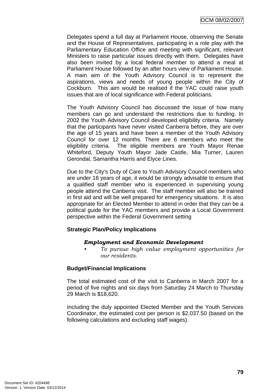Delegates spend a full day at Parliament House, observing the Senate and the House of Representatives, participating in a role play with the Parliamentary Education Office and meeting with significant, relevant Ministers to raise particular issues directly with them. Delegates have also been invited by a local federal member to attend a meal at Parliament House followed by an after hours view of Parliament House. A main aim of the Youth Advisory Council is to represent the aspirations, views and needs of young people within the City of Cockburn. This aim would be realised if the YAC could raise youth issues that are of local significance with Federal politicians.

The Youth Advisory Council has discussed the issue of how many members can go and understand the restrictions due to funding. In 2002 the Youth Advisory Council developed eligibility criteria. Namely that the participants have never visited Canberra before, they are over the age of 15 years and have been a member of the Youth Advisory Council for over 12 months. There are 6 members who meet the eligibility criteria. The eligible members are Youth Mayor Renae Whiteford, Deputy Youth Mayor Jade Castle, Mia Turner, Lauren Gerondal, Samantha Harris and Elyce Lines.

Due to the City's Duty of Care to Youth Advisory Council members who are under 18 years of age, it would be strongly advisable to ensure that a qualified staff member who is experienced in supervising young people attend the Canberra visit. The staff member will also be trained in first aid and will be well prepared for emergency situations. It is also appropriate for an Elected Member to attend in order that they can be a political guide for the YAC members and provide a Local Government perspective within the Federal Government setting

#### **Strategic Plan/Policy Implications**

## *Employment and Economic Development*

*• To pursue high value employment opportunities for our residents.* 

## **Budget/Financial Implications**

The total estimated cost of the visit to Canberra in March 2007 for a period of five nights and six days from Saturday 24 March to Thursday 29 March is \$18,620.

Including the duly appointed Elected Member and the Youth Services Coordinator, the estimated cost per person is \$2,037.50 (based on the following calculations and excluding staff wages).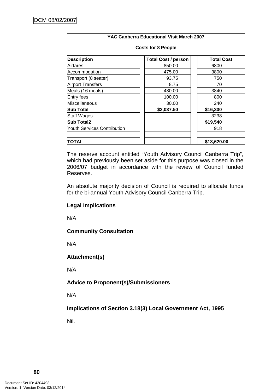| YAC Canberra Educational Visit March 2007 |                            |                   |  |  |  |  |
|-------------------------------------------|----------------------------|-------------------|--|--|--|--|
| <b>Costs for 8 People</b>                 |                            |                   |  |  |  |  |
| <b>Description</b>                        | <b>Total Cost / person</b> | <b>Total Cost</b> |  |  |  |  |
| lAirfares                                 | 850.00                     | 6800              |  |  |  |  |
| lAccommodation                            | 475.00                     | 3800              |  |  |  |  |
| Transport (8 seater)                      | 93.75                      | 750               |  |  |  |  |
| <b>Airport Transfers</b>                  | 8.75                       | 70                |  |  |  |  |
| Meals (16 meals)                          | 480.00                     | 3840              |  |  |  |  |
| Entry fees                                | 100.00                     | 800               |  |  |  |  |
| lMiscellaneous                            | 30.00                      | 240               |  |  |  |  |
| lSub Total                                | \$2,037.50                 | \$16,300          |  |  |  |  |
| <b>Staff Wages</b>                        |                            | 3238              |  |  |  |  |
| <b>Sub Total2</b>                         |                            | \$19,540          |  |  |  |  |
| <b>Youth Services Contribution</b>        |                            | 918               |  |  |  |  |
| <b>TOTAL</b>                              |                            | \$18,620.00       |  |  |  |  |

The reserve account entitled "Youth Advisory Council Canberra Trip", which had previously been set aside for this purpose was closed in the 2006/07 budget in accordance with the review of Council funded Reserves.

An absolute majority decision of Council is required to allocate funds for the bi-annual Youth Advisory Council Canberra Trip.

#### **Legal Implications**

N/A

**Community Consultation** 

N/A

**Attachment(s)**

N/A

## **Advice to Proponent(s)/Submissioners**

N/A

**Implications of Section 3.18(3) Local Government Act, 1995**

Nil.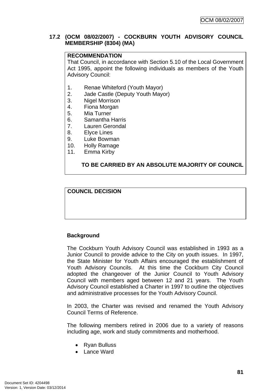## **17.2 (OCM 08/02/2007) - COCKBURN YOUTH ADVISORY COUNCIL MEMBERSHIP (8304) (MA)**

## **RECOMMENDATION**

That Council, in accordance with Section 5.10 of the Local Government Act 1995, appoint the following individuals as members of the Youth Advisory Council:

- 1. Renae Whiteford (Youth Mayor)
- 2. Jade Castle (Deputy Youth Mayor)
- 3. Nigel Morrison
- 4. Fiona Morgan
- 5. Mia Turner
- 6. Samantha Harris
- 7. Lauren Gerondal
- 8. Elyce Lines
- 9. Luke Bowman
- 10. Holly Ramage
- 11. Emma Kirby

## **TO BE CARRIED BY AN ABSOLUTE MAJORITY OF COUNCIL**

## **COUNCIL DECISION**

#### **Background**

The Cockburn Youth Advisory Council was established in 1993 as a Junior Council to provide advice to the City on youth issues. In 1997, the State Minister for Youth Affairs encouraged the establishment of Youth Advisory Councils. At this time the Cockburn City Council adopted the changeover of the Junior Council to Youth Advisory Council with members aged between 12 and 21 years. The Youth Advisory Council established a Charter in 1997 to outline the objectives and administrative processes for the Youth Advisory Council.

In 2003, the Charter was revised and renamed the Youth Advisory Council Terms of Reference.

The following members retired in 2006 due to a variety of reasons including age, work and study commitments and motherhood.

- Ryan Bulluss
- Lance Ward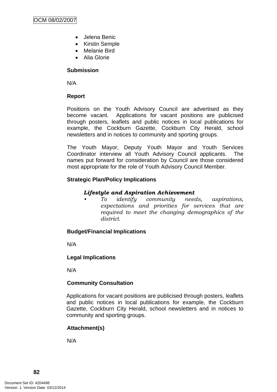- Jelena Benic
- Kirstin Semple
- Melanie Bird
- Alia Glorie

## **Submission**

N/A

#### **Report**

Positions on the Youth Advisory Council are advertised as they become vacant. Applications for vacant positions are publicised through posters, leaflets and public notices in local publications for example, the Cockburn Gazette, Cockburn City Herald, school newsletters and in notices to community and sporting groups.

The Youth Mayor, Deputy Youth Mayor and Youth Services Coordinator interview all Youth Advisory Council applicants. The names put forward for consideration by Council are those considered most appropriate for the role of Youth Advisory Council Member.

## **Strategic Plan/Policy Implications**

## *Lifestyle and Aspiration Achievement*

*• To identify community needs, aspirations, expectations and priorities for services that are required to meet the changing demographics of the district.* 

#### **Budget/Financial Implications**

N/A

## **Legal Implications**

N/A

#### **Community Consultation**

Applications for vacant positions are publicised through posters, leaflets and public notices in local publications for example, the Cockburn Gazette, Cockburn City Herald, school newsletters and in notices to community and sporting groups.

## **Attachment(s)**

N/A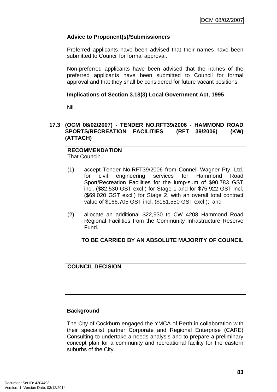## **Advice to Proponent(s)/Submissioners**

Preferred applicants have been advised that their names have been submitted to Council for formal approval.

Non-preferred applicants have been advised that the names of the preferred applicants have been submitted to Council for formal approval and that they shall be considered for future vacant positions.

#### **Implications of Section 3.18(3) Local Government Act, 1995**

Nil.

## **17.3 (OCM 08/02/2007) - TENDER NO.RFT39/2006 - HAMMOND ROAD SPORTS/RECREATION FACILITIES (RFT 39/2006) (KW) (ATTACH)**

**RECOMMENDATION** That Council:

- (1) accept Tender No.RFT39/2006 from Connell Wagner Pty. Ltd. for civil engineering services for Hammond Road Sport/Recreation Facilities for the lump-sum of \$90,783 GST incl. (\$82,530 GST excl.) for Stage 1 and for \$75,922 GST incl. (\$69,020 GST excl.) for Stage 2, with an overall total contract value of \$166,705 GST incl. (\$151,550 GST excl.); and
- (2) allocate an additional \$22,930 to CW 4208 Hammond Road Regional Facilities from the Community Infrastructure Reserve Fund.

**TO BE CARRIED BY AN ABSOLUTE MAJORITY OF COUNCIL**

**COUNCIL DECISION**

## **Background**

The City of Cockburn engaged the YMCA of Perth in collaboration with their specialist partner Corporate and Regional Enterprise (CARE) Consulting to undertake a needs analysis and to prepare a preliminary concept plan for a community and recreational facility for the eastern suburbs of the City.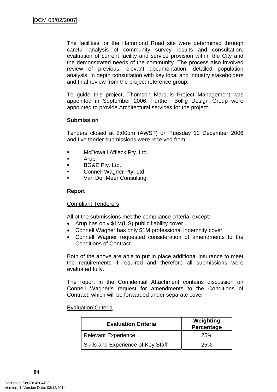The facilities for the Hammond Road site were determined through careful analysis of community survey results and consultation, evaluation of current facility and service provision within the City and the demonstrated needs of the community. The process also involved review of previous relevant documentation, detailed population analysis, in depth consultation with key local and industry stakeholders and final review from the project reference group.

To guide this project, Thomson Marquis Project Management was appointed in September 2006. Further, Bollig Design Group were appointed to provide Architectural services for the project.

#### **Submission**

Tenders closed at 2:00pm (AWST) on Tuesday 12 December 2006 and five tender submissions were received from:

- **NCDowall Affleck Pty. Ltd.**
- Arup
- **BG&E Pty. Ltd.**
- **EXECONNELL MEASURE Ptv. Ltd.**
- Van Der Meer Consulting

## **Report**

#### Compliant Tenderers

All of the submissions met the compliance criteria, except:

- Arup has only \$1M(US) public liability cover
- Connell Wagner has only \$1M professional indemnity cover
- Connell Wagner requested consideration of amendments to the Conditions of Contract.

Both of the above are able to put in place additional insurance to meet the requirements if required and therefore all submissions were evaluated fully.

The report in the Confidential Attachment contains discussion on Connell Wagner's request for amendments to the Conditions of Contract, which will be forwarded under separate cover.

#### Evaluation Criteria

| <b>Evaluation Criteria</b>         | Weighting<br>Percentage |  |
|------------------------------------|-------------------------|--|
| Relevant Experience                | <b>25%</b>              |  |
| Skills and Experience of Key Staff | <b>25%</b>              |  |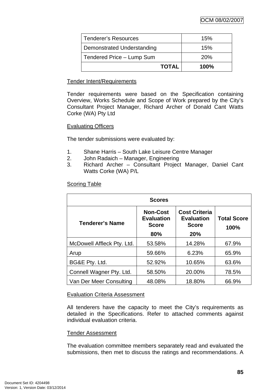| <b>Tenderer's Resources</b> | 15%        |
|-----------------------------|------------|
| Demonstrated Understanding  | 15%        |
| Tendered Price - Lump Sum   | <b>20%</b> |
| <b>TOTAL</b>                | 100%       |

## Tender Intent/Requirements

Tender requirements were based on the Specification containing Overview, Works Schedule and Scope of Work prepared by the City's Consultant Project Manager, Richard Archer of Donald Cant Watts Corke (WA) Pty Ltd

#### Evaluating Officers

The tender submissions were evaluated by:

- 1. Shane Harris South Lake Leisure Centre Manager
- 2. John Radaich Manager, Engineering
- 3. Richard Archer Consultant Project Manager, Daniel Cant Watts Corke (WA) P/L

#### **Scoring Table**

| <b>Scores</b>              |                                                      |                                                           |                            |  |  |
|----------------------------|------------------------------------------------------|-----------------------------------------------------------|----------------------------|--|--|
| <b>Tenderer's Name</b>     | <b>Non-Cost</b><br><b>Evaluation</b><br><b>Score</b> | <b>Cost Criteria</b><br><b>Evaluation</b><br><b>Score</b> | <b>Total Score</b><br>100% |  |  |
|                            | 80%                                                  | 20%                                                       |                            |  |  |
| McDowell Affleck Pty. Ltd. | 53.58%                                               | 14.28%                                                    | 67.9%                      |  |  |
| Arup                       | 59.66%                                               | 6.23%                                                     | 65.9%                      |  |  |
| BG&E Pty. Ltd.             | 52.92%                                               | 10.65%                                                    | 63.6%                      |  |  |
| Connell Wagner Pty. Ltd.   | 58.50%                                               | 20.00%                                                    | 78.5%                      |  |  |
| Van Der Meer Consulting    | 48.08%                                               | 18.80%                                                    | 66.9%                      |  |  |

#### Evaluation Criteria Assessment

All tenderers have the capacity to meet the City's requirements as detailed in the Specifications. Refer to attached comments against individual evaluation criteria.

#### Tender Assessment

The evaluation committee members separately read and evaluated the submissions, then met to discuss the ratings and recommendations. A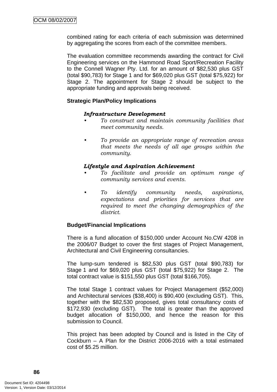combined rating for each criteria of each submission was determined by aggregating the scores from each of the committee members.

The evaluation committee recommends awarding the contract for Civil Engineering services on the Hammond Road Sport/Recreation Facility to the Connell Wagner Pty. Ltd. for an amount of \$82,530 plus GST (total \$90,783) for Stage 1 and for \$69,020 plus GST (total \$75,922) for Stage 2. The appointment for Stage 2 should be subject to the appropriate funding and approvals being received.

#### **Strategic Plan/Policy Implications**

#### *Infrastructure Development*

- *To construct and maintain community facilities that meet community needs.*
- *To provide an appropriate range of recreation areas that meets the needs of all age groups within the community.*

#### *Lifestyle and Aspiration Achievement*

- *To facilitate and provide an optimum range of community services and events.*
- *To identify community needs, aspirations, expectations and priorities for services that are required to meet the changing demographics of the district.*

#### **Budget/Financial Implications**

There is a fund allocation of \$150,000 under Account No.CW 4208 in the 2006/07 Budget to cover the first stages of Project Management, Architectural and Civil Engineering consultancies.

The lump-sum tendered is \$82,530 plus GST (total \$90,783) for Stage 1 and for \$69,020 plus GST (total \$75,922) for Stage 2. The total contract value is \$151,550 plus GST (total \$166,705).

The total Stage 1 contract values for Project Management (\$52,000) and Architectural services (\$38,400) is \$90,400 (excluding GST). This, together with the \$82,530 proposed, gives total consultancy costs of \$172,930 (excluding GST). The total is greater than the approved budget allocation of \$150,000, and hence the reason for this submission to Council.

This project has been adopted by Council and is listed in the City of Cockburn – A Plan for the District 2006-2016 with a total estimated cost of \$5.25 million.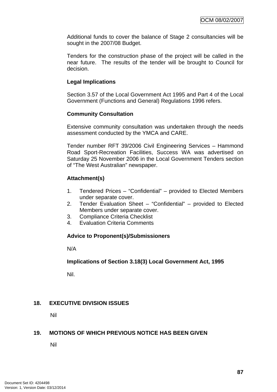Additional funds to cover the balance of Stage 2 consultancies will be sought in the 2007/08 Budget.

Tenders for the construction phase of the project will be called in the near future. The results of the tender will be brought to Council for decision.

#### **Legal Implications**

Section 3.57 of the Local Government Act 1995 and Part 4 of the Local Government (Functions and General) Regulations 1996 refers.

## **Community Consultation**

Extensive community consultation was undertaken through the needs assessment conducted by the YMCA and CARE.

Tender number RFT 39/2006 Civil Engineering Services – Hammond Road Sport-Recreation Facilities, Success WA was advertised on Saturday 25 November 2006 in the Local Government Tenders section of "The West Australian" newspaper.

## **Attachment(s)**

- 1. Tendered Prices "Confidential" provided to Elected Members under separate cover.
- 2. Tender Evaluation Sheet "Confidential" provided to Elected Members under separate cover.
- 3. Compliance Criteria Checklist
- 4. Evaluation Criteria Comments

#### **Advice to Proponent(s)/Submissioners**

N/A

## **Implications of Section 3.18(3) Local Government Act, 1995**

Nil.

## **18. EXECUTIVE DIVISION ISSUES**

Nil

## **19. MOTIONS OF WHICH PREVIOUS NOTICE HAS BEEN GIVEN**

Nil